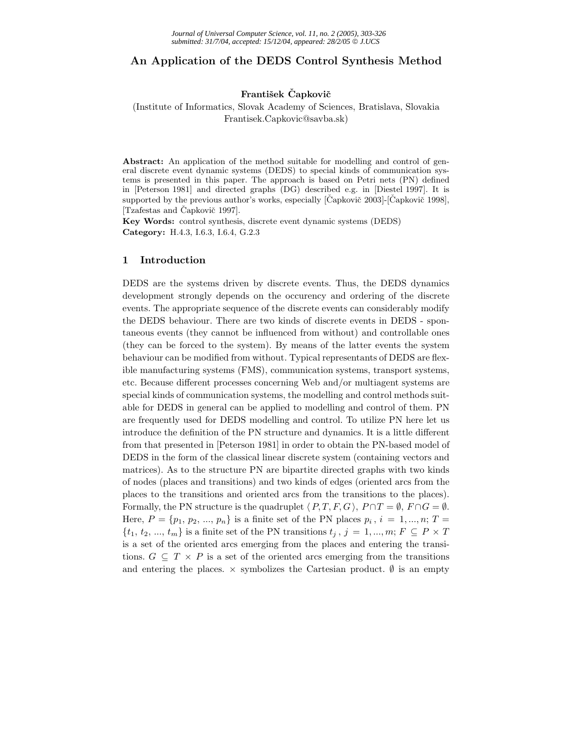# **An Application of the DEDS Control Synthesis Method**

# **František Capkovič**

# (Institute of Informatics, Slovak Academy of Sciences, Bratislava, Slovakia Frantisek.Capkovic@savba.sk)

**Abstract:** An application of the method suitable for modelling and control of general discrete event dynamic systems (DEDS) to special kinds of communication systems is presented in this paper. The approach is based on Petri nets (PN) defined in [Peterson 1981] and directed graphs (DG) described e.g. in [Diestel 1997]. It is supported by the previous author's works, especially  $[\text{Čapkovič } 2003]$ - $[\text{Čapkovič } 1998]$ , [Tzafestas and Čapkovič 1997].

**Key Words:** control synthesis, discrete event dynamic systems (DEDS) **Category:** H.4.3, I.6.3, I.6.4, G.2.3

### **1 Introduction**

DEDS are the systems driven by discrete events. Thus, the DEDS dynamics development strongly depends on the occurency and ordering of the discrete events. The appropriate sequence of the discrete events can considerably modify the DEDS behaviour. There are two kinds of discrete events in DEDS - spontaneous events (they cannot be influenced from without) and controllable ones (they can be forced to the system). By means of the latter events the system behaviour can be modified from without. Typical representants of DEDS are flexible manufacturing systems (FMS), communication systems, transport systems, etc. Because different processes concerning Web and/or multiagent systems are special kinds of communication systems, the modelling and control methods suitable for DEDS in general can be applied to modelling and control of them. PN are frequently used for DEDS modelling and control. To utilize PN here let us introduce the definition of the PN structure and dynamics. It is a little different from that presented in [Peterson 1981] in order to obtain the PN-based model of DEDS in the form of the classical linear discrete system (containing vectors and matrices). As to the structure PN are bipartite directed graphs with two kinds of nodes (places and transitions) and two kinds of edges (oriented arcs from the places to the transitions and oriented arcs from the transitions to the places). Formally, the PN structure is the quadruplet  $\langle P, T, F, G \rangle$ ,  $P \cap T = \emptyset$ ,  $F \cap G = \emptyset$ .<br>Here,  $P = \{p, \dots, p\}$  is a finite set of the PN plases  $p, \dots, q-1, \dots, T$ . Here,  $P = \{p_1, p_2, ..., p_n\}$  is a finite set of the PN places  $p_i$ ,  $i = 1, ..., n; T =$  $\{t_1, t_2, ..., t_m\}$  is a finite set of the PN transitions  $t_j$ ,  $j = 1, ..., m; F \subseteq P \times T$ is a set of the oriented arcs emerging from the places and entering the transitions.  $G \subseteq T \times P$  is a set of the oriented arcs emerging from the transitions and entering the places.  $\times$  symbolizes the Cartesian product.  $\emptyset$  is an empty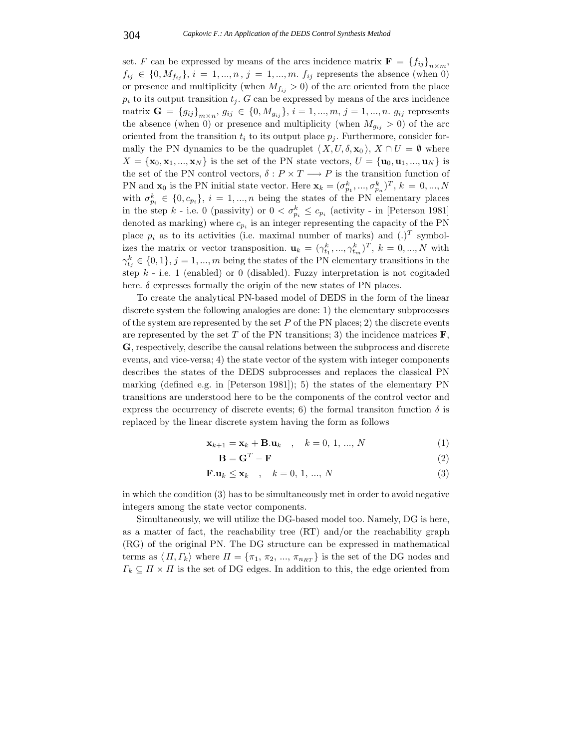set. F can be expressed by means of the arcs incidence matrix  $\mathbf{F} = \{f_{ij}\}_{n \times m}$ ,  $f_{ij} \in \{0, M_{f_{ij}}\}, i = 1, ..., n, j = 1, ..., m$ .  $f_{ij}$  represents the absence (when 0) or presence and multiplicity (when  $M_{f_{ij}} > 0$ ) of the arc oriented from the place  $p_i$  to its output transition  $t_i$ . G can be expressed by means of the arcs incidence matrix  $G = {g_{ij}}_{m \times n}$ ,  $g_{ij} \in {0, M_{g_{ij}}}, i = 1, ..., m, j = 1, ..., n$ .  $g_{ij}$  represents the absence (when 0) or presence and multiplicity (when  $M_{g_{ij}} > 0$ ) of the arc oriented from the transition  $t_i$  to its output place  $p_i$ . Furthermore, consider formally the PN dynamics to be the quadruplet  $\langle X, U, \delta, \mathbf{x}_0 \rangle$ ,  $X \cap U = \emptyset$  where  $X = \{x_1, x_2, ..., x_N\}$  is the set of the PN state vectors  $U = \{x_1, x_2, ..., x_N\}$  is  $X = {\mathbf{x}_0, \mathbf{x}_1, ..., \mathbf{x}_N}$  is the set of the PN state vectors,  $U = {\mathbf{u}_0, \mathbf{u}_1, ..., \mathbf{u}_N}$  is the set of the PN control vectors,  $\delta: P \times T \longrightarrow P$  is the transition function of PN and  $\mathbf{x}_0$  is the PN initial state vector. Here  $\mathbf{x}_k = (\sigma_{p_1}^k, ..., \sigma_{p_n}^k)^T$ ,  $k = 0, ..., N$ <br>with  $\sigma_k^k \in [0, \infty]$ ,  $i = 1, ..., n$  being the states of the PN elements uplease  $p_1, ..., o_p$ <br>be DN with  $\sigma_{p_i}^k \in \{0, c_{p_i}\}, i = 1, ..., n$  being the states of the PN elementary places<br>in the star  $k$  i.e. 0 (persivity) or  $0 \leq \sigma^k \leq e$  (estimity, in Peterson 1921) in the step k - i.e. 0 (passivity) or  $0 < \sigma_{p_i}^k \leq c_{p_i}$  (activity - in [Peterson 1981] denoted as marking) where  $c_{p_i}$  is an integer representing the capacity of the PN place  $p_i$  as to its activities (i.e. maximal number of marks) and  $(.)^T$  symbolizes the matrix or vector transposition.  $\mathbf{u}_k = ( \gamma_{t_1}^k, ..., \gamma_{t_m}^k )^T$ ,  $k = 0, ..., N$  with  $\gamma_{t_1}, ..., \gamma_{t_n}$  $\gamma_{t_j}^k \in \{0,1\}, j = 1, ..., m$  being the states of the PN elementary transitions in the step  $k$  - i.e. 1 (enabled) or 0 (disabled). Fuzzy interpretation is not cogitaded here.  $\delta$  expresses formally the origin of the new states of PN places.

To create the analytical PN-based model of DEDS in the form of the linear discrete system the following analogies are done: 1) the elementary subprocesses of the system are represented by the set  $P$  of the PN places; 2) the discrete events are represented by the set  $T$  of the PN transitions; 3) the incidence matrices  $\mathbf{F}$ , **G**, respectively, describe the causal relations between the subprocess and discrete events, and vice-versa; 4) the state vector of the system with integer components describes the states of the DEDS subprocesses and replaces the classical PN marking (defined e.g. in [Peterson 1981]); 5) the states of the elementary PN transitions are understood here to be the components of the control vector and express the occurrency of discrete events; 6) the formal transiton function  $\delta$  is replaced by the linear discrete system having the form as follows

$$
\mathbf{x}_{k+1} = \mathbf{x}_k + \mathbf{B}.\mathbf{u}_k \quad , \quad k = 0, 1, ..., N \tag{1}
$$

$$
\mathbf{B} = \mathbf{G}^T - \mathbf{F} \tag{2}
$$

$$
\mathbf{F}.\mathbf{u}_k \le \mathbf{x}_k \quad , \quad k = 0, 1, ..., N \tag{3}
$$

in which the condition (3) has to be simultaneously met in order to avoid negative integers among the state vector components.

Simultaneously, we will utilize the DG-based model too. Namely, DG is here, as a matter of fact, the reachability tree (RT) and/or the reachability graph (RG) of the original PN. The DG structure can be expressed in mathematical terms as  $\langle \Pi, \Gamma_k \rangle$  where  $\Pi = \{\pi_1, \pi_2, ..., \pi_{n_{RT}}\}$  is the set of the DG nodes and  $\Gamma \subset \Pi \times \Pi$  is the set of DG edges. In addition to this, the edge evinted from  $\Gamma_k \subseteq \Pi \times \Pi$  is the set of DG edges. In addition to this, the edge oriented from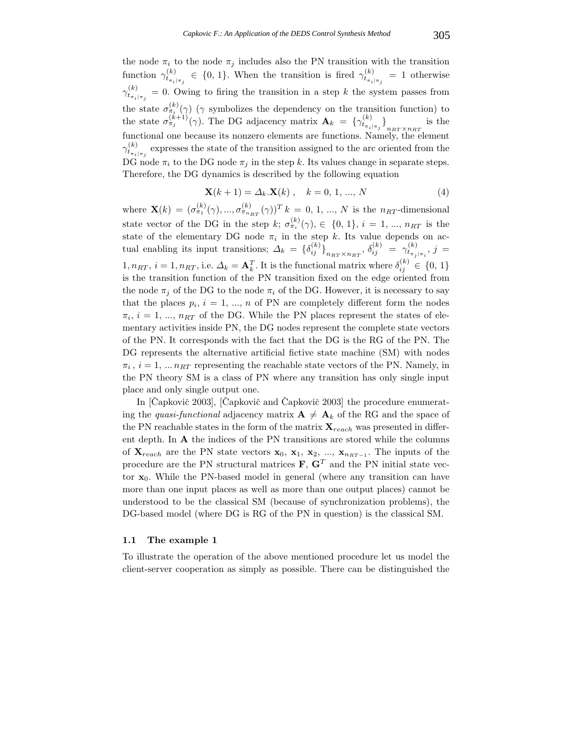the node  $\pi_i$  to the node  $\pi_j$  includes also the PN transition with the transition function  $\gamma_{t_{\pi_i|\pi_j}}^{(k)} \in \{0, 1\}$ . When the transition is fired  $\gamma_{t_{\pi_i|\pi_j}}^{(k)} = 1$  otherwise  $\gamma_{t_{\pi_i|\pi_j}}^{(k)} = 0$ . Owing to firing the transition in a step k the system passes from the state  $\sigma_{\pi_i}^{(k)}(\gamma)$  ( $\gamma$  symbolizes the dependency on the transition function) to the state  $\sigma_{\pi_j}^{(k+1)}(\gamma)$ . The DG adjacency matrix  $\mathbf{A}_k = \{ \gamma_{t_{\pi_i|\pi_j}}^{(k)} \}$  $n_{RT} \times n_{RT} \ \lambda_{\text{NL}}$ the c is the functional one because its nonzero elements are functions. Namely, the element  $\gamma_{t_{\pi_i|\pi_j}}^{(k)}$  expresses the state of the transition assigned to the arc oriented from the DG node  $\pi_i$  to the DG node  $\pi_j$  in the step k. Its values change in separate steps. Therefore, the DG dynamics is described by the following equation

$$
\mathbf{X}(k+1) = \Delta_k \cdot \mathbf{X}(k) \,, \quad k = 0, 1, ..., N \tag{4}
$$

where  $\mathbf{X}(k)=(\sigma_{\pi_1}^{(k)}(\gamma),...,\sigma_{\pi_{n_{RT}}}^{(k)}(\gamma))^T$  k = 0, 1, ..., N is the n<sub>RT</sub>-dimensional state vector of the DG in the step k;  $\sigma_{\pi_i}^{(k)}(\gamma)$ ,  $\in \{0, 1\}$ ,  $i = 1, ..., n_{RT}$  is the state of the elementary DG node  $\pi_i$  in the step k. Its value depends on actual enabling its input transitions;  $\Delta_k = {\delta_{ij}^{(k)}}_{n_{RT} \times n_{RT}}, \delta_{ij}^{(k)} = \gamma_{t_{\pi_j|\pi_i}}^{(k)}, j =$  $1, n_{RT}, i = 1, n_{RT}, i.e.$   $\Delta_k = \mathbf{A}_k^T$ . It is the functional matrix where  $\delta_{ij}^{(k)} \in \{0, 1\}$ is the transition function of the PN transition fixed on the edge oriented from the node  $\pi_i$  of the DG to the node  $\pi_i$  of the DG. However, it is necessary to say that the places  $p_i$ ,  $i = 1, ..., n$  of PN are completely different form the nodes  $\pi_i$ ,  $i = 1, ..., n_{RT}$  of the DG. While the PN places represent the states of elementary activities inside PN, the DG nodes represent the complete state vectors of the PN. It corresponds with the fact that the DG is the RG of the PN. The DG represents the alternative artificial fictive state machine (SM) with nodes  $\pi_i$ ,  $i = 1, \dots n_{RT}$  representing the reachable state vectors of the PN. Namely, in the PN theory SM is a class of PN where any transition has only single input place and only single output one.

In  $[\text{Čapkovič } 2003]$ ,  $[\text{Čapkovič } and \text{ Čapkovič } 2003]$  the procedure enumerating the *quasi-functional* adjacency matrix  $\mathbf{A} \neq \mathbf{A}_k$  of the RG and the space of the PN reachable states in the form of the matrix  $\mathbf{X}_{reach}$  was presented in different depth. In **A** the indices of the PN transitions are stored while the columns of  $\mathbf{X}_{reach}$  are the PN state vectors  $\mathbf{x}_0$ ,  $\mathbf{x}_1$ ,  $\mathbf{x}_2$ , ...,  $\mathbf{x}_{n_{RT-1}}$ . The inputs of the procedure are the PN structural matrices  $\mathbf{F}, \mathbf{G}^T$  and the PN initial state vector **x**0. While the PN-based model in general (where any transition can have more than one input places as well as more than one output places) cannot be understood to be the classical SM (because of synchronization problems), the DG-based model (where DG is RG of the PN in question) is the classical SM.

#### **1.1 The example 1**

To illustrate the operation of the above mentioned procedure let us model the client-server cooperation as simply as possible. There can be distinguished the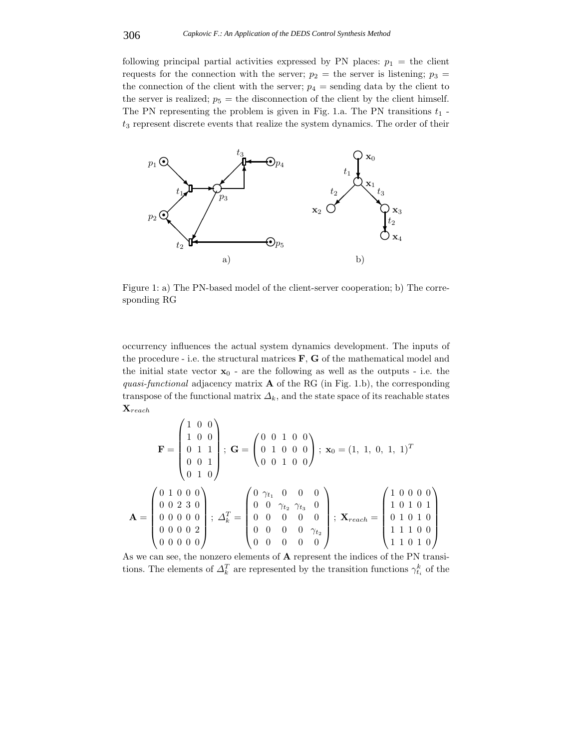following principal partial activities expressed by PN places:  $p_1 =$  the client requests for the connection with the server;  $p_2$  = the server is listening;  $p_3$  = the connection of the client with the server;  $p_4$  = sending data by the client to the server is realized;  $p_5$  = the disconnection of the client by the client himself. The PN representing the problem is given in Fig. 1.a. The PN transitions  $t_1$   $t_3$  represent discrete events that realize the system dynamics. The order of their



Figure 1: a) The PN-based model of the client-server cooperation; b) The corresponding RG

occurrency influences the actual system dynamics development. The inputs of the procedure - i.e. the structural matrices **F**, **G** of the mathematical model and the initial state vector  $x_0$  - are the following as well as the outputs - i.e. the *quasi-functional* adjacency matrix **A** of the RG (in Fig. 1.b), the corresponding transpose of the functional matrix  $\Delta_k$ , and the state space of its reachable states **<sup>X</sup>**reach

$$
\mathbf{F} = \begin{pmatrix} 1 & 0 & 0 \\ 1 & 0 & 0 \\ 0 & 1 & 1 \\ 0 & 0 & 1 \end{pmatrix}; \ \mathbf{G} = \begin{pmatrix} 0 & 0 & 1 & 0 & 0 \\ 0 & 1 & 0 & 0 & 0 \\ 0 & 0 & 1 & 0 & 0 \end{pmatrix}; \ \mathbf{x}_0 = (1, 1, 0, 1, 1)^T
$$

$$
\mathbf{A} = \begin{pmatrix} 0 & 1 & 0 & 0 & 0 \\ 0 & 0 & 2 & 3 & 0 \\ 0 & 0 & 0 & 0 & 0 \\ 0 & 0 & 0 & 0 & 2 \\ 0 & 0 & 0 & 0 & 0 \end{pmatrix}; \ \Delta_k^T = \begin{pmatrix} 0 & \gamma_{t_1} & 0 & 0 & 0 \\ 0 & 0 & \gamma_{t_2} & \gamma_{t_3} & 0 \\ 0 & 0 & 0 & 0 & 0 \\ 0 & 0 & 0 & 0 & 0 \\ 0 & 0 & 0 & 0 & 0 \end{pmatrix}; \ \mathbf{X}_{reach} = \begin{pmatrix} 1 & 0 & 0 & 0 & 0 \\ 1 & 0 & 1 & 0 & 1 \\ 0 & 1 & 0 & 1 & 0 \\ 0 & 1 & 0 & 1 & 0 \\ 1 & 1 & 0 & 0 & 0 \end{pmatrix}
$$

As we can see, the nonzero elements of **A** represent the indices of the PN transitions. The elements of  $\Delta_k^T$  are represented by the transition functions  $\gamma_{t_i}^k$  of the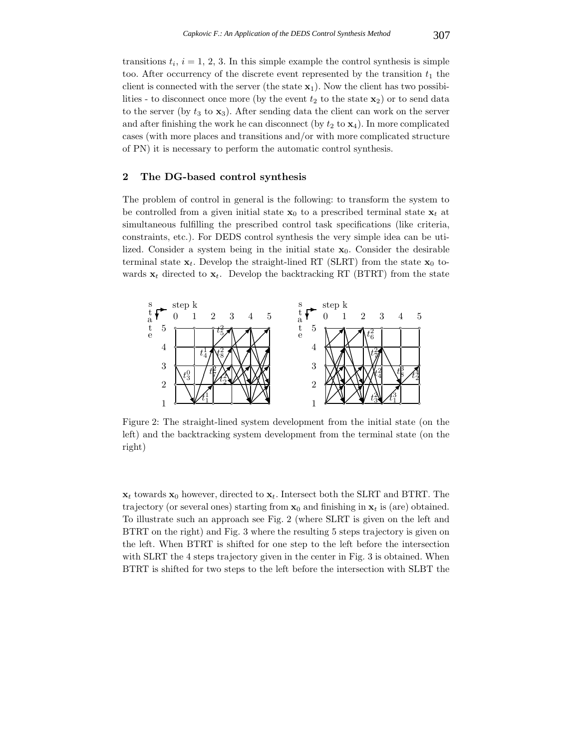transitions  $t_i$ ,  $i = 1, 2, 3$ . In this simple example the control synthesis is simple too. After occurrency of the discrete event represented by the transition  $t_1$  the client is connected with the server (the state  $\mathbf{x}_1$ ). Now the client has two possibilities - to disconnect once more (by the event  $t_2$  to the state  $\mathbf{x}_2$ ) or to send data to the server (by  $t_3$  to  $\mathbf{x}_3$ ). After sending data the client can work on the server and after finishing the work he can disconnect (by  $t_2$  to  $\mathbf{x}_4$ ). In more complicated cases (with more places and transitions and/or with more complicated structure of PN) it is necessary to perform the automatic control synthesis.

# **2 The DG-based control synthesis**

The problem of control in general is the following: to transform the system to be controlled from a given initial state  $\mathbf{x}_0$  to a prescribed terminal state  $\mathbf{x}_t$  at simultaneous fulfilling the prescribed control task specifications (like criteria, constraints, etc.). For DEDS control synthesis the very simple idea can be utilized. Consider a system being in the initial state  $x_0$ . Consider the desirable terminal state  $\mathbf{x}_t$ . Develop the straight-lined RT (SLRT) from the state  $\mathbf{x}_0$  towards  $\mathbf{x}_t$  directed to  $\mathbf{x}_t$ . Develop the backtracking RT (BTRT) from the state



Figure 2: The straight-lined system development from the initial state (on the left) and the backtracking system development from the terminal state (on the right)

 $\mathbf{x}_t$  towards  $\mathbf{x}_0$  however, directed to  $\mathbf{x}_t$ . Intersect both the SLRT and BTRT. The trajectory (or several ones) starting from  $x_0$  and finishing in  $x_t$  is (are) obtained. To illustrate such an approach see Fig. 2 (where SLRT is given on the left and BTRT on the right) and Fig. 3 where the resulting 5 steps trajectory is given on the left. When BTRT is shifted for one step to the left before the intersection with SLRT the 4 steps trajectory given in the center in Fig. 3 is obtained. When BTRT is shifted for two steps to the left before the intersection with SLBT the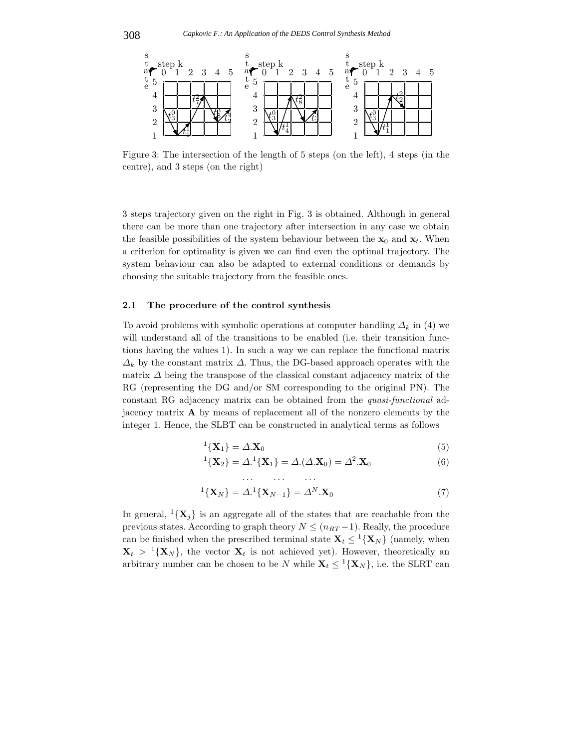

Figure 3: The intersection of the length of 5 steps (on the left), 4 steps (in the centre), and 3 steps (on the right)

3 steps trajectory given on the right in Fig. 3 is obtained. Although in general there can be more than one trajectory after intersection in any case we obtain the feasible possibilities of the system behaviour between the  $\mathbf{x}_0$  and  $\mathbf{x}_t$ . When a criterion for optimality is given we can find even the optimal trajectory. The system behaviour can also be adapted to external conditions or demands by choosing the suitable trajectory from the feasible ones.

### **2.1 The procedure of the control synthesis**

To avoid problems with symbolic operations at computer handling  $\Delta_k$  in (4) we will understand all of the transitions to be enabled (i.e. their transition functions having the values 1). In such a way we can replace the functional matrix  $\Delta_k$  by the constant matrix  $\Delta$ . Thus, the DG-based approach operates with the matrix  $\Delta$  being the transpose of the classical constant adjacency matrix of the RG (representing the DG and/or SM corresponding to the original PN). The constant RG adjacency matrix can be obtained from the *quasi-functional* adjacency matrix **A** by means of replacement all of the nonzero elements by the integer 1. Hence, the SLBT can be constructed in analytical terms as follows

$$
{}^{1}\{\mathbf{X}_{1}\} = \Delta.\mathbf{X}_{0}
$$
\n
$$
{}^{1}\{\mathbf{X}_{1}\} = \Delta.\mathbf{X}_{0}
$$
\n
$$
{}^{1}\{\mathbf{X}_{2}\} = \Delta.\mathbf{X}_{1} = \Delta.\mathbf{X}_{2} = \Delta.\mathbf{X}_{3} = \Delta.\mathbf{X}_{4}
$$
\n
$$
{}^{1}\{\mathbf{X}_{2}\} = \Delta.\mathbf{X}_{0} = \Delta.\mathbf{X}_{1} = \Delta.\mathbf{X}_{2} = \Delta.\mathbf{X}_{3} = \Delta.\mathbf{X}_{4} = \Delta.\mathbf{X}_{5} = \Delta.\mathbf{X}_{6}
$$

$$
{}^{1}\{\mathbf{X}_{2}\} = \Delta {}^{1}\{\mathbf{X}_{1}\} = \Delta (\Delta . \mathbf{X}_{0}) = \Delta^{2} . \mathbf{X}_{0}
$$
(6)

$$
{}^{1}\{\mathbf{X}_{N}\} = \Delta {}^{1}\{\mathbf{X}_{N-1}\} = \Delta^{N}.\mathbf{X}_{0}
$$
\n(7)

In general,  ${}^{1}\{\mathbf{X}_{i}\}\$ is an aggregate all of the states that are reachable from the previous states. According to graph theory  $N \leq (n_{RT}-1)$ . Really, the procedure can be finished when the prescribed terminal state  $\mathbf{X}_t \leq {}^{1} {\mathbf{X}_N}$  (namely, when  $\mathbf{X}_t > {}^1{\mathbf{X}_N}$ , the vector  $\mathbf{X}_t$  is not achieved yet). However, theoretically an arbitrary number can be chosen to be N while  $X_t \leq \frac{1}{X_N}$ , i.e. the SLRT can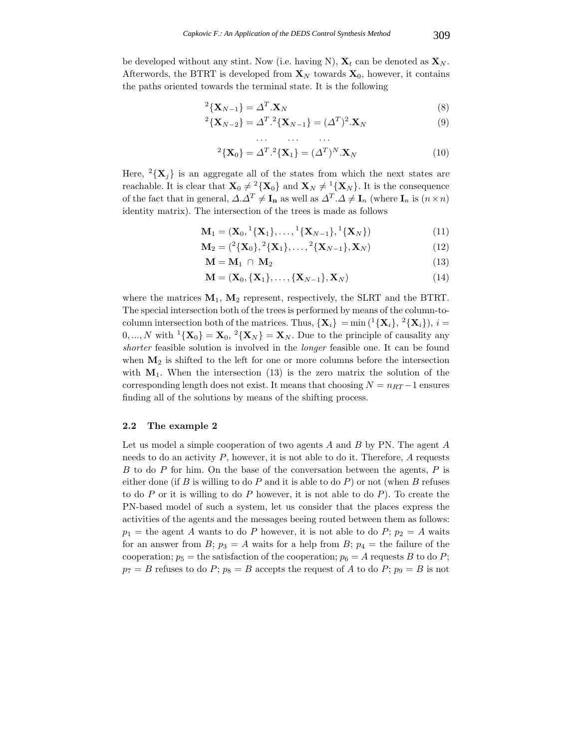be developed without any stint. Now (i.e. having N),  $\mathbf{X}_t$  can be denoted as  $\mathbf{X}_N$ . Afterwords, the BTRT is developed from  $\mathbf{X}_N$  towards  $\mathbf{X}_0$ , however, it contains the paths oriented towards the terminal state. It is the following

$$
{}^{2}\left\{\mathbf{X}_{N-1}\right\} = \Delta^{T} \cdot \mathbf{X}_{N}
$$
\n
$$
{}^{2}\left\{\mathbf{X}_{N-1}\right\} = \Delta^{T} \cdot \mathbf{X}_{N}
$$
\n
$$
{}^{2}\left\{\mathbf{X}_{N-1}\right\} = \Delta^{T} \cdot \mathbf{X}_{N}
$$
\n
$$
{}^{2}\left\{\mathbf{X}_{N-1}\right\} = \Delta^{T} \cdot \mathbf{X}_{N}
$$
\n
$$
{}^{2}\left\{\mathbf{X}_{N-1}\right\} = \Delta^{T} \cdot \mathbf{X}_{N}
$$
\n
$$
{}^{2}\left\{\mathbf{X}_{N-1}\right\} = \Delta^{T} \cdot \mathbf{X}_{N}
$$
\n
$$
{}^{2}\left\{\mathbf{X}_{N-1}\right\} = \Delta^{T} \cdot \mathbf{X}_{N}
$$
\n
$$
{}^{2}\left\{\mathbf{X}_{N-1}\right\} = \Delta^{T} \cdot \mathbf{X}_{N}
$$
\n
$$
{}^{2}\left\{\mathbf{X}_{N-1}\right\} = \Delta^{T} \cdot \mathbf{X}_{N}
$$
\n
$$
{}^{2}\left\{\mathbf{X}_{N-1}\right\} = \Delta^{T} \cdot \mathbf{X}_{N}
$$
\n
$$
{}^{2}\left\{\mathbf{X}_{N-1}\right\} = \Delta^{T} \cdot \mathbf{X}_{N}
$$
\n
$$
{}^{2}\left\{\mathbf{X}_{N-1}\right\} = \Delta^{T} \cdot \mathbf{X}_{N}
$$
\n
$$
{}^{2}\left\{\mathbf{X}_{N-1}\right\} = \Delta^{T} \cdot \mathbf{X}_{N}
$$

$$
{}^{2}\{\mathbf{X}_{N-2}\} = \Delta^{T}.\,{}^{2}\{\mathbf{X}_{N-1}\} = (\Delta^{T})^{2}.\mathbf{X}_{N}
$$
\n(9)

$$
{}^{2}\{\mathbf{X}_{0}\} = \Delta^{T} \cdot {}^{2}\{\mathbf{X}_{1}\} = (\Delta^{T})^{N} \cdot \mathbf{X}_{N}
$$
\n(10)

Here,  $^{2}\{\mathbf{X}_{i}\}\$ is an aggregate all of the states from which the next states are reachable. It is clear that  $\mathbf{X}_0 \neq {}^2{\mathbf{X}_0}$  and  $\mathbf{X}_N \neq {}^1{\mathbf{X}_N}$ . It is the consequence of the fact that in general,  $\Delta \Delta^T \neq \mathbf{I}_n$  as well as  $\Delta^T \Delta \neq \mathbf{I}_n$  (where  $\mathbf{I}_n$  is  $(n \times n)$ ) identity matrix). The intersection of the trees is made as follows

 $\mathbf{M}_1 = (\mathbf{X}_0, {}^1{\{\mathbf{X}_1\}}, \dots, {}^1{\{\mathbf{X}_{N-1}\}}, {}^1{\{\mathbf{X}_N\}})$  (11)

$$
\mathbf{M}_2 = ({}^2\{\mathbf{X}_0\}, {}^2\{\mathbf{X}_1\}, \dots, {}^2\{\mathbf{X}_{N-1}\}, \mathbf{X}_N)
$$
(12)

$$
\mathbf{M} = \mathbf{M}_1 \cap \mathbf{M}_2 \tag{13}
$$

$$
\mathbf{M} = (\mathbf{X}_0, \{\mathbf{X}_1\}, \dots, \{\mathbf{X}_{N-1}\}, \mathbf{X}_N)
$$
(14)

where the matrices  $M_1$ ,  $M_2$  represent, respectively, the SLRT and the BTRT. The special intersection both of the trees is performed by means of the column-tocolumn intersection both of the matrices. Thus,  $\{X_i\} = \min\{(\frac{1}{X_i}, \frac{2}{X_i}\}, i =$  $0, ..., N$  with  $^{1}\{\mathbf{X}_{0}\} = \mathbf{X}_{0}, {^{2}\{\mathbf{X}_{N}\}} = \mathbf{X}_{N}$ . Due to the principle of causality any *shorter* feasible solution is involved in the *longer* feasible one. It can be found when  $M_2$  is shifted to the left for one or more columns before the intersection with  $M_1$ . When the intersection (13) is the zero matrix the solution of the corresponding length does not exist. It means that choosing  $N = n_{RT} - 1$  ensures finding all of the solutions by means of the shifting process.

# **2.2 The example 2**

Let us model a simple cooperation of two agents  $A$  and  $B$  by PN. The agent  $A$ needs to do an activity  $P$ , however, it is not able to do it. Therefore,  $A$  requests  $B$  to do  $P$  for him. On the base of the conversation between the agents,  $P$  is either done (if  $B$  is willing to do  $P$  and it is able to do  $P$ ) or not (when  $B$  refuses to do  $P$  or it is willing to do  $P$  however, it is not able to do  $P$ ). To create the PN-based model of such a system, let us consider that the places express the activities of the agents and the messages beeing routed between them as follows:  $p_1$  = the agent A wants to do P however, it is not able to do P;  $p_2 = A$  waits for an answer from B;  $p_3 = A$  waits for a help from B;  $p_4 =$  the failure of the cooperation;  $p_5$  = the satisfaction of the cooperation;  $p_6 = A$  requests B to do P;  $p_7 = B$  refuses to do P;  $p_8 = B$  accepts the request of A to do P;  $p_9 = B$  is not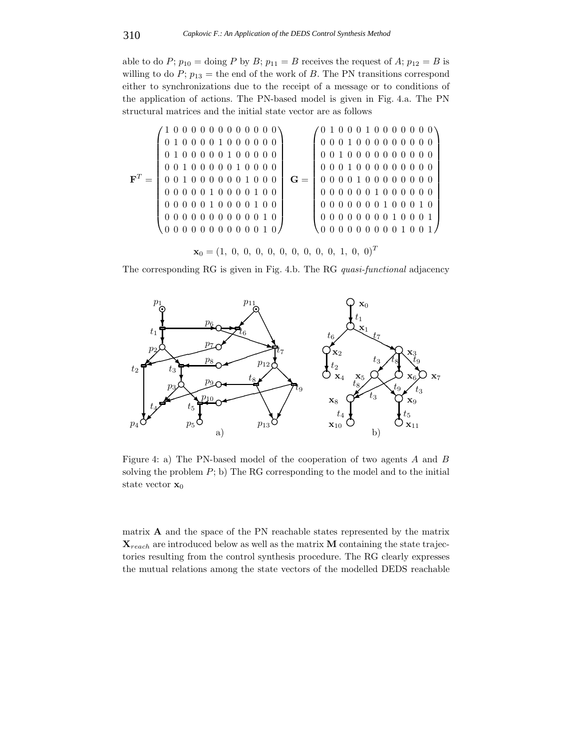able to do P;  $p_{10}$  = doing P by B;  $p_{11} = B$  receives the request of A;  $p_{12} = B$  is willing to do  $P$ ;  $p_{13}$  = the end of the work of B. The PN transitions correspond either to synchronizations due to the receipt of a message or to conditions of the application of actions. The PN-based model is given in Fig. 4.a. The PN structural matrices and the initial state vector are as follows

$$
\mathbf{F}^T = \begin{pmatrix} 1 & 0 & 0 & 0 & 0 & 0 & 0 & 0 & 0 & 0 & 0 & 0 \\ 0 & 1 & 0 & 0 & 0 & 0 & 1 & 0 & 0 & 0 & 0 & 0 \\ 0 & 0 & 1 & 0 & 0 & 0 & 0 & 1 & 0 & 0 & 0 & 0 \\ 0 & 0 & 1 & 0 & 0 & 0 & 0 & 0 & 1 & 0 & 0 & 0 \\ 0 & 0 & 0 & 0 & 0 & 0 & 0 & 1 & 0 & 0 & 0 \\ 0 & 0 & 0 & 0 & 0 & 1 & 0 & 0 & 0 & 1 & 0 \\ 0 & 0 & 0 & 0 & 0 & 0 & 0 & 1 & 0 & 0 \\ 0 & 0 & 0 & 0 & 0 & 0 & 0 & 0 & 1 & 0 \\ 0 & 0 & 0 & 0 & 0 & 0 & 0 & 0 & 1 & 0 \\ 0 & 0 & 0 & 0 & 0 & 0 & 0 & 0 & 1 & 0 \\ 0 & 0 & 0 & 0 & 0 & 0 & 0 & 1 & 0 & 0 \\ 0 & 0 & 0 & 0 & 0 & 0 & 0 & 1 & 0 & 0 \\ 0 & 0 & 0 & 0 & 0 & 0 & 0 & 1 & 0 & 0 \\ 0 & 0 & 0 & 0 & 0 & 0 & 0 & 1 & 0 & 0 \\ 0 & 0 & 0 & 0 & 0 & 0 & 0 & 1 & 0 & 0 \\ 0 & 0 & 0 & 0 & 0 & 0 & 0 & 1 & 0 & 0 \\ 0 & 0 & 0 & 0 & 0 & 0 & 0 & 1 & 0 & 0 \\ 0 & 0 & 0 & 0 & 0 & 0 & 0 & 0 & 1 & 0 \\ 0 & 0 & 0 & 0 & 0 & 0 & 0 & 0 & 1 & 0 \\ 0 & 0 & 0 & 0 & 0 & 0 & 0 & 0 & 1 & 0 \\ 0 & 0 & 0 & 0 & 0 & 0 & 0 & 0 & 1 & 0 \\ 0 & 0 & 0 & 0 & 0 & 0 & 0 & 0 & 1 & 0 \\ 0 & 0 & 0 & 0 & 0 & 0 & 0 & 0 & 1 & 0 \\ 0 & 0 & 0 & 0 & 0 & 0 & 0 & 1 &
$$

The corresponding RG is given in Fig. 4.b. The RG *quasi-functional* adjacency



Figure 4: a) The PN-based model of the cooperation of two agents A and B solving the problem  $P$ ; b) The RG corresponding to the model and to the initial state vector **x**<sup>0</sup>

matrix **A** and the space of the PN reachable states represented by the matrix  $\mathbf{X}_{reach}$  are introduced below as well as the matrix **M** containing the state trajectories resulting from the control synthesis procedure. The RG clearly expresses the mutual relations among the state vectors of the modelled DEDS reachable

 $\mathbf{x}_0 = (1, 0, 0, 0, 0, 0, 0, 0, 0, 0, 1, 0, 0)^T$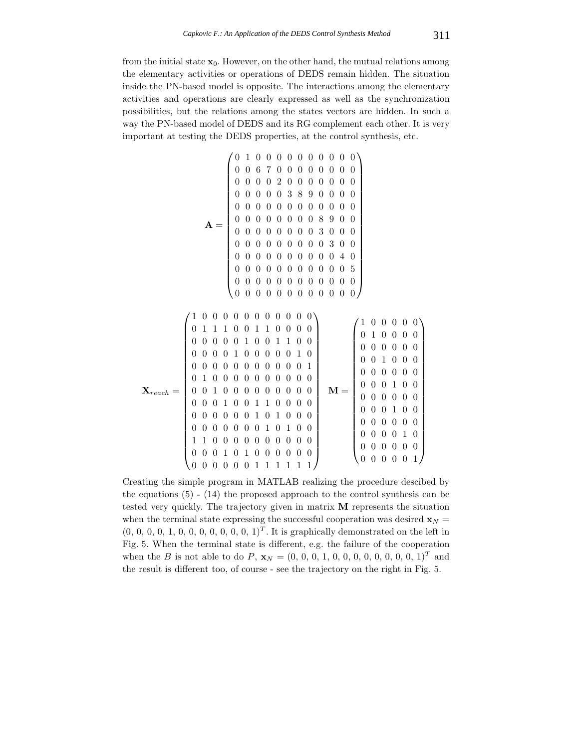from the initial state  $\mathbf{x}_0$ . However, on the other hand, the mutual relations among the elementary activities or operations of DEDS remain hidden. The situation inside the PN-based model is opposite. The interactions among the elementary activities and operations are clearly expressed as well as the synchronization possibilities, but the relations among the states vectors are hidden. In such a way the PN-based model of DEDS and its RG complement each other. It is very important at testing the DEDS properties, at the control synthesis, etc.

$$
\mathbf{A} = \left( \begin{array}{cccccccc} 0 & 1 & 0 & 0 & 0 & 0 & 0 & 0 & 0 & 0 & 0 & 0 \\ 0 & 0 & 6 & 7 & 0 & 0 & 0 & 0 & 0 & 0 & 0 & 0 \\ 0 & 0 & 0 & 0 & 2 & 0 & 0 & 0 & 0 & 0 & 0 & 0 \\ 0 & 0 & 0 & 0 & 3 & 8 & 9 & 0 & 0 & 0 & 0 \\ 0 & 0 & 0 & 0 & 0 & 0 & 0 & 0 & 0 & 0 & 0 \\ 0 & 0 & 0 & 0 & 0 & 0 & 0 & 8 & 9 & 0 & 0 \\ 0 & 0 & 0 & 0 & 0 & 0 & 0 & 3 & 0 & 0 & 0 \\ 0 & 0 & 0 & 0 & 0 & 0 & 0 & 0 & 3 & 0 & 0 \\ 0 & 0 & 0 & 0 & 0 & 0 & 0 & 0 & 0 & 4 & 0 \\ 0 & 0 & 0 & 0 & 0 & 0 & 0 & 0 & 0 & 0 & 5 \\ 0 & 0 & 0 & 0 & 0 & 0 & 0 & 0 & 0 & 0 & 0 \\ 0 & 0 & 0 & 0 & 0 & 0 & 0 & 0 & 0 & 0 & 0 \\ 0 & 0 & 0 & 0 & 0 & 0 & 0 & 0 & 0 & 0 & 0 \\ \end{array} \right)
$$

$$
\mathbf{X}_{reach} = \left( \begin{array}{cccccccc} 1 & 0 & 0 & 0 & 0 & 0 & 0 & 0 & 0 & 0 & 0 \\ 0 & 1 & 1 & 1 & 0 & 0 & 1 & 1 & 0 & 0 & 0 \\ 0 & 0 & 0 & 0 & 0 & 1 & 0 & 0 & 1 & 1 & 0 & 0 \\ 0 & 0 & 0 & 0 & 1 & 0 & 0 & 0 & 0 & 0 & 1 & 0 \\ 0 & 0 & 0 & 0 & 0 & 0 & 0 & 0 & 0 & 0 & 0 & 1 \\ 0 & 1 & 0 & 0 & 0 & 0 & 0 & 0 & 0 & 0 & 0 & 0 \\ 0 & 0 & 1 & 0 & 0 & 0 & 0 & 0 & 0 & 0 & 0 & 0 \\ 0 & 0 & 0 & 1 & 0 & 0 & 1 & 1 & 0 & 0 & 0 & 0 \\ 0 & 0 & 0 & 0 & 0 & 0 & 1 & 0 & 1 & 0 & 0 & 0 \\ 0 & 0 & 0 & 0 & 0 & 0 & 1 & 0 & 1 & 0 & 0 & 0 \\ 0 & 0 & 0 & 0 & 0 & 0 & 1 & 0 & 1 & 0 & 0 & 0 \\ 0 & 0 & 0 & 0 & 0 & 0 & 0 & 1 & 0 & 1 & 0 & 0 \\ 0 & 0 & 0 & 0 & 0 & 0 & 0 & 0 & 0 & 0 & 0 & 0 \\ 0 & 0 & 0 & 0 & 0 & 0 & 0 & 0 & 0 & 0 & 0 & 0 \\ 0 & 0 & 0 & 0 & 0 & 0 & 1 & 1 & 1 & 1 & 1 & 1 \end{array} \right) \quad \mathbf{M} = \left( \begin{array}{cccccc} 1 & 0 & 0 & 0 & 0 & 0 & 0 \\ 0 & 1 & 0 & 0 & 0 & 0 & 0 & 0 \\ 0 & 0 & 0 & 0 & 0 & 0 & 0 & 0 \\ 0 & 0 & 0 & 0 & 0 & 0 & 0 & 0 \\ 0 & 0 & 0 & 0 & 0 & 0 & 0 & 0 \\ 0 & 0 & 0 & 0 & 0 & 0 & 0 & 0 \\ 0 & 0 & 0 & 0 & 0 & 0 & 0 & 0 \\ 0 & 0 & 0 & 0 & 0
$$

Creating the simple program in MATLAB realizing the procedure descibed by the equations  $(5)$  -  $(14)$  the proposed approach to the control synthesis can be tested very quickly. The trajectory given in matrix **M** represents the situation when the terminal state expressing the successful cooperation was desired  $\mathbf{x}_N =$  $(0, 0, 0, 0, 1, 0, 0, 0, 0, 0, 0, 0, 1)^T$ . It is graphically demonstrated on the left in Fig. 5. When the terminal state is different, e.g. the failure of the cooperation when the B is not able to do P,  $\mathbf{x}_N = (0, 0, 0, 1, 0, 0, 0, 0, 0, 0, 0, 0, 1)^T$  and the result is different too, of course - see the trajectory on the right in Fig. 5.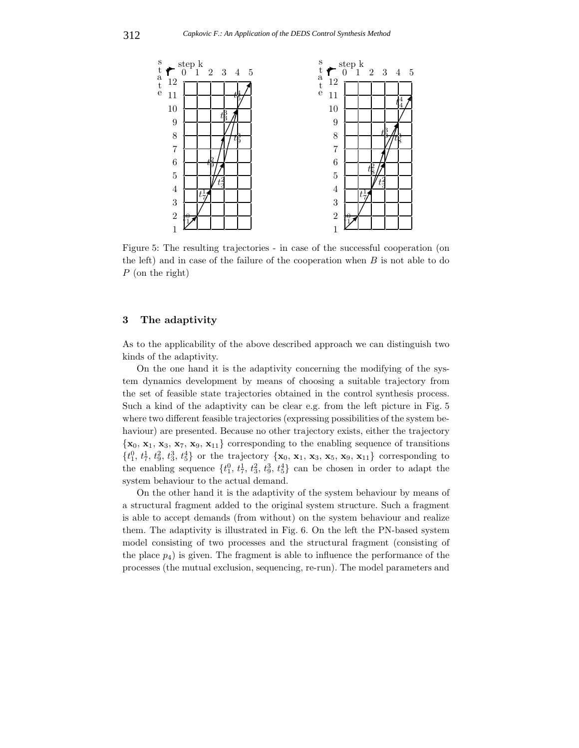

Figure 5: The resulting trajectories - in case of the successful cooperation (on the left) and in case of the failure of the cooperation when  $B$  is not able to do P (on the right)

# **3 The adaptivity**

As to the applicability of the above described approach we can distinguish two kinds of the adaptivity.

On the one hand it is the adaptivity concerning the modifying of the system dynamics development by means of choosing a suitable trajectory from the set of feasible state trajectories obtained in the control synthesis process. Such a kind of the adaptivity can be clear e.g. from the left picture in Fig. 5 where two different feasible trajectories (expressing possibilities of the system behaviour) are presented. Because no other trajectory exists, either the trajectory  ${x_0, x_1, x_3, x_7, x_9, x_{11}}$  corresponding to the enabling sequence of transitions  $\{t_1^0, t_7^1, t_9^2, t_3^3, t_5^4\}$  or the trajectory  $\{\mathbf{x}_0, \mathbf{x}_1, \mathbf{x}_3, \mathbf{x}_5, \mathbf{x}_9, \mathbf{x}_{11}\}$  corresponding to the enabling cognomer  $\{t_0, t_1, t_2, t_3, t_4\}$  can be chosen in order to edent, the the enabling sequence  $\{t_1^0, t_7^1, t_3^2, t_9^3, t_5^4\}$  can be chosen in order to adapt the system behaviour to the actual demand.

On the other hand it is the adaptivity of the system behaviour by means of a structural fragment added to the original system structure. Such a fragment is able to accept demands (from without) on the system behaviour and realize them. The adaptivity is illustrated in Fig. 6. On the left the PN-based system model consisting of two processes and the structural fragment (consisting of the place  $p_4$ ) is given. The fragment is able to influence the performance of the processes (the mutual exclusion, sequencing, re-run). The model parameters and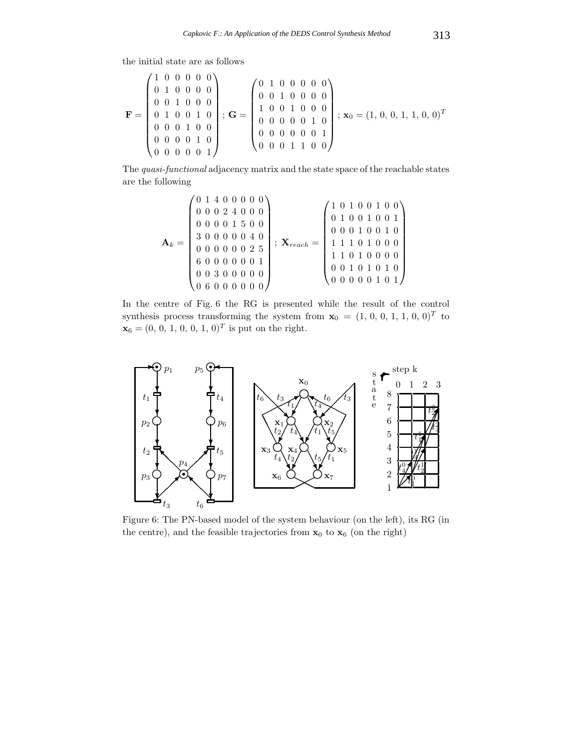the initial state are as follows

$$
\mathbf{F} = \begin{pmatrix} 1 & 0 & 0 & 0 & 0 & 0 \\ 0 & 1 & 0 & 0 & 0 & 0 \\ 0 & 0 & 1 & 0 & 0 & 0 \\ 0 & 1 & 0 & 0 & 1 & 0 \\ 0 & 0 & 0 & 1 & 0 & 0 \\ 0 & 0 & 0 & 0 & 1 & 0 \\ 0 & 0 & 0 & 0 & 0 & 1 \end{pmatrix}; \ \mathbf{G} = \begin{pmatrix} 0 & 1 & 0 & 0 & 0 & 0 & 0 \\ 0 & 0 & 1 & 0 & 0 & 0 & 0 \\ 1 & 0 & 0 & 1 & 0 & 0 & 0 \\ 0 & 0 & 0 & 0 & 0 & 1 & 0 \\ 0 & 0 & 0 & 0 & 0 & 0 & 1 \end{pmatrix}; \ \mathbf{x}_0 = (1, 0, 0, 1, 1, 0, 0)^T
$$

The *quasi-functional* adjacency matrix and the state space of the reachable states are the following

$$
\mathbf{A}_k = \begin{pmatrix} 0 & 1 & 4 & 0 & 0 & 0 & 0 & 0 \\ 0 & 0 & 0 & 2 & 4 & 0 & 0 & 0 \\ 0 & 0 & 0 & 0 & 1 & 5 & 0 & 0 \\ 3 & 0 & 0 & 0 & 0 & 0 & 4 & 0 \\ 0 & 0 & 0 & 0 & 0 & 0 & 2 & 5 \\ 6 & 0 & 0 & 0 & 0 & 0 & 0 & 1 \\ 0 & 0 & 3 & 0 & 0 & 0 & 0 & 0 \\ 0 & 6 & 0 & 0 & 0 & 0 & 0 & 0 \end{pmatrix}; \ \mathbf{X}_{reach} = \begin{pmatrix} 1 & 0 & 1 & 0 & 0 & 1 & 0 & 0 \\ 0 & 1 & 0 & 0 & 1 & 0 & 0 & 1 \\ 0 & 0 & 0 & 1 & 0 & 0 & 0 & 1 \\ 1 & 1 & 1 & 0 & 1 & 0 & 0 & 0 \\ 0 & 0 & 1 & 0 & 1 & 0 & 1 & 0 \\ 0 & 0 & 1 & 0 & 1 & 0 & 1 & 0 \\ 0 & 0 & 0 & 0 & 0 & 1 & 0 & 1 \end{pmatrix}
$$

In the centre of Fig. 6 the RG is presented while the result of the control synthesis process transforming the system from  $\mathbf{x}_0 = (1, 0, 0, 1, 1, 0, 0)^T$  to  $\mathbf{x}_0 = (0, 0, 1, 0, 0, 1, 0)^T$  is put on the wight.  $\mathbf{x}_6 = (0, 0, 1, 0, 0, 1, 0)^T$  is put on the right.



Figure 6: The PN-based model of the system behaviour (on the left), its RG (in the centre), and the feasible trajectories from  $\mathbf{x}_0$  to  $\mathbf{x}_6$  (on the right)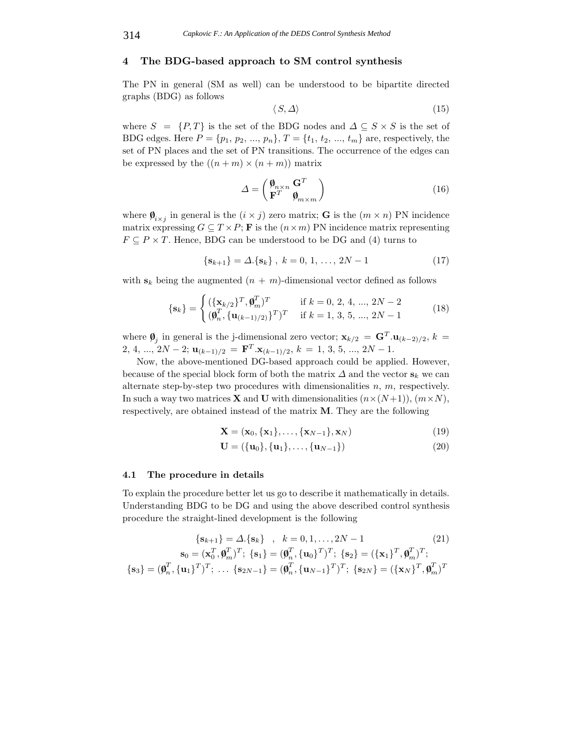### **4 The BDG-based approach to SM control synthesis**

The PN in general (SM as well) can be understood to be bipartite directed graphs (BDG) as follows

$$
\langle S, \Delta \rangle \tag{15}
$$

where  $S = \{P, T\}$  is the set of the BDG nodes and  $\Delta \subseteq S \times S$  is the set of BDG edges. Here  $P = \{p_1, p_2, ..., p_n\}, T = \{t_1, t_2, ..., t_m\}$  are, respectively, the set of PN places and the set of PN transitions. The occurrence of the edges can be expressed by the  $((n+m) \times (n+m))$  matrix

$$
\Delta = \begin{pmatrix} \mathbf{\emptyset}_{n \times n} \mathbf{G}^T \\ \mathbf{F}^T & \mathbf{\emptyset}_{m \times m} \end{pmatrix} \tag{16}
$$

where  $\mathbf{\emptyset}_{i \times j}$  in general is the  $(i \times j)$  zero matrix; **G** is the  $(m \times n)$  PN incidence matrix expressing  $G \subseteq T \times P$ ; **F** is the  $(n \times m)$  PN incidence matrix representing  $F \subseteq P \times T$ . Hence, BDG can be understood to be DG and (4) turns to

$$
\{\mathbf{s}_{k+1}\} = \Delta \{\mathbf{s}_k\}, \ k = 0, 1, \dots, 2N - 1 \tag{17}
$$

with  $s_k$  being the augmented  $(n + m)$ -dimensional vector defined as follows

$$
\{\mathbf{s}_k\} = \begin{cases} (\{\mathbf{x}_{k/2}\}^T, \pmb{\theta}_m^T)^T & \text{if } k = 0, 2, 4, ..., 2N - 2\\ (\pmb{\theta}_n^T, \{\mathbf{u}_{(k-1)/2)}\}^T)^T & \text{if } k = 1, 3, 5, ..., 2N - 1 \end{cases}
$$
(18)

where  $\boldsymbol{\varnothing}_j$  in general is the j-dimensional zero vector;  $\mathbf{x}_{k/2} = \mathbf{G}^T \cdot \mathbf{u}_{(k-2)/2}, k =$ 2, 4, ...,  $2N-2$ ;  $\mathbf{u}_{(k-1)/2} = \mathbf{F}^T \cdot \mathbf{x}_{(k-1)/2}, k = 1, 3, 5, ..., 2N-1.$ 

Now, the above-mentioned DG-based approach could be applied. However, because of the special block form of both the matrix  $\Delta$  and the vector  $\mathbf{s}_k$  we can alternate step-by-step two procedures with dimensionalities  $n, m$ , respectively. In such a way two matrices **X** and **U** with dimensionalities  $(n \times (N+1))$ ,  $(m \times N)$ , respectively, are obtained instead of the matrix **M**. They are the following

$$
\mathbf{X} = (\mathbf{x}_0, \{\mathbf{x}_1\}, \dots, \{\mathbf{x}_{N-1}\}, \mathbf{x}_N)
$$
(19)

$$
\mathbf{U} = (\{\mathbf{u}_0\}, \{\mathbf{u}_1\}, \dots, \{\mathbf{u}_{N-1}\})
$$
(20)

#### **4.1 The procedure in details**

To explain the procedure better let us go to describe it mathematically in details. Understanding BDG to be DG and using the above described control synthesis procedure the straight-lined development is the following

$$
\{\mathbf{s}_{k+1}\} = \Delta.\{\mathbf{s}_k\} , k = 0, 1, ..., 2N - 1
$$
\n
$$
\mathbf{s}_0 = (\mathbf{x}_0^T, \boldsymbol{\theta}_m^T)^T; \{\mathbf{s}_1\} = (\boldsymbol{\theta}_n^T, \{\mathbf{u}_0\}^T)^T; \{\mathbf{s}_2\} = (\{\mathbf{x}_1\}^T, \boldsymbol{\theta}_m^T)^T; \{\mathbf{s}_3\} = (\boldsymbol{\theta}_n^T, \{\mathbf{u}_1\}^T)^T; \dots \{\mathbf{s}_{2N-1}\} = (\boldsymbol{\theta}_n^T, \{\mathbf{u}_{N-1}\}^T)^T; \{\mathbf{s}_{2N}\} = (\{\mathbf{x}_N\}^T, \boldsymbol{\theta}_m^T)^T
$$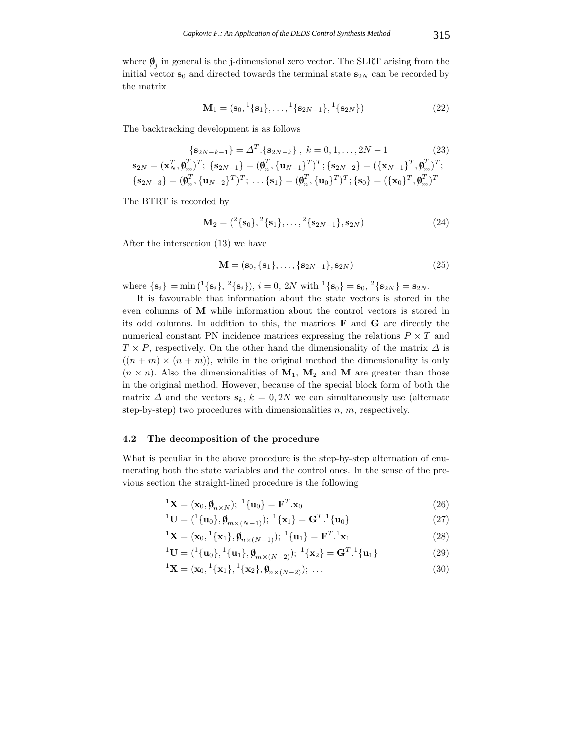where  $\boldsymbol{\phi}_i$  in general is the j-dimensional zero vector. The SLRT arising from the initial vector  $\mathbf{s}_0$  and directed towards the terminal state  $\mathbf{s}_{2N}$  can be recorded by the matrix

$$
\mathbf{M}_1 = (\mathbf{s}_0, \,^1\{\mathbf{s}_1\}, \dots, \,^1\{\mathbf{s}_{2N-1}\}, \,^1\{\mathbf{s}_{2N}\})
$$
\n(22)

The backtracking development is as follows

$$
\begin{aligned}\n\{\mathbf{s}_{2N-k-1}\} &= \Delta^T \cdot \{\mathbf{s}_{2N-k}\}, \ k = 0, 1, \dots, 2N-1 \tag{23} \\
\mathbf{s}_{2N} &= (\mathbf{x}_N^T, \pmb{\theta}_m^T)^T; \ \{\mathbf{s}_{2N-1}\} = (\pmb{\theta}_n^T, \{\mathbf{u}_{N-1}\}^T)^T; \ \{\mathbf{s}_{2N-2}\} = (\{\mathbf{x}_{N-1}\}^T, \pmb{\theta}_m^T)^T; \\
\{\mathbf{s}_{2N-3}\} &= (\pmb{\theta}_n^T, \{\mathbf{u}_{N-2}\}^T)^T; \ \dots \{\mathbf{s}_1\} = (\pmb{\theta}_n^T, \{\mathbf{u}_0\}^T)^T; \ \{\mathbf{s}_0\} = (\{\mathbf{x}_0\}^T, \pmb{\theta}_m^T)^T\n\end{aligned}
$$

The BTRT is recorded by

$$
\mathbf{M}_2 = \left({}^2\{\mathbf{s}_0\},{}^2\{\mathbf{s}_1\},\ldots,{}^2\{\mathbf{s}_{2N-1}\},\mathbf{s}_{2N}\right) \tag{24}
$$

After the intersection (13) we have

$$
\mathbf{M} = (\mathbf{s}_0, \{\mathbf{s}_1\}, \dots, \{\mathbf{s}_{2N-1}\}, \mathbf{s}_{2N})
$$
 (25)

where  ${\bf s}_i$  = min  $({}^1{\bf s}_i, {}^2{\bf s}_i)$ ,  $i = 0, 2N$  with  ${}^1{\bf s}_0$  =  ${\bf s}_0, {}^2{\bf s}_{2N}$  =  ${\bf s}_{2N}$ .

It is favourable that information about the state vectors is stored in the even columns of **M** while information about the control vectors is stored in its odd columns. In addition to this, the matrices **F** and **G** are directly the numerical constant PN incidence matrices expressing the relations  $P \times T$  and  $T \times P$ , respectively. On the other hand the dimensionality of the matrix  $\Delta$  is  $((n + m) \times (n + m))$ , while in the original method the dimensionality is only  $(n \times n)$ . Also the dimensionalities of  $M_1$ ,  $M_2$  and  $M$  are greater than those in the original method. However, because of the special block form of both the matrix  $\Delta$  and the vectors  $\mathbf{s}_k$ ,  $k = 0, 2N$  we can simultaneously use (alternate step-by-step) two procedures with dimensionalities  $n, m$ , respectively.

### **4.2 The decomposition of the procedure**

What is peculiar in the above procedure is the step-by-step alternation of enumerating both the state variables and the control ones. In the sense of the previous section the straight-lined procedure is the following

$$
{}^{1}\mathbf{X} = (\mathbf{x}_{0}, \boldsymbol{\emptyset}_{n \times N}); {}^{1}\{\mathbf{u}_{0}\} = \mathbf{F}^{T}.\mathbf{x}_{0}
$$
\n(26)

$$
{}^{1}\mathbf{U} = ({}^{1}\{\mathbf{u}_{0}\}, \pmb{\phi}_{m \times (N-1)}); \ {}^{1}\{\mathbf{x}_{1}\} = \mathbf{G}^{T} \cdot {}^{1}\{\mathbf{u}_{0}\}
$$
(27)

$$
{}^{1}\mathbf{X} = (\mathbf{x}_{0}, {}^{1}\{\mathbf{x}_{1}\}, \pmb{\varphi}_{n\times(N-1)}); {}^{1}\{\mathbf{u}_{1}\} = \mathbf{F}^{T} \cdot {}^{1}\mathbf{x}_{1}
$$
\n(28)

$$
{}^{1}\mathbf{U} = ({}^{1}\{\mathbf{u}_{0}\}, {}^{1}\{\mathbf{u}_{1}\}, \boldsymbol{\emptyset}_{m \times (N-2)}); \ {}^{1}\{\mathbf{x}_{2}\} = \mathbf{G}^{T} . {}^{1}\{\mathbf{u}_{1}\}
$$
(29)

$$
{}^{1}\mathbf{X} = (\mathbf{x}_{0}, {}^{1}\{\mathbf{x}_{1}\}, {}^{1}\{\mathbf{x}_{2}\}, \boldsymbol{\varnothing}_{n \times (N-2)}); \dots
$$
 (30)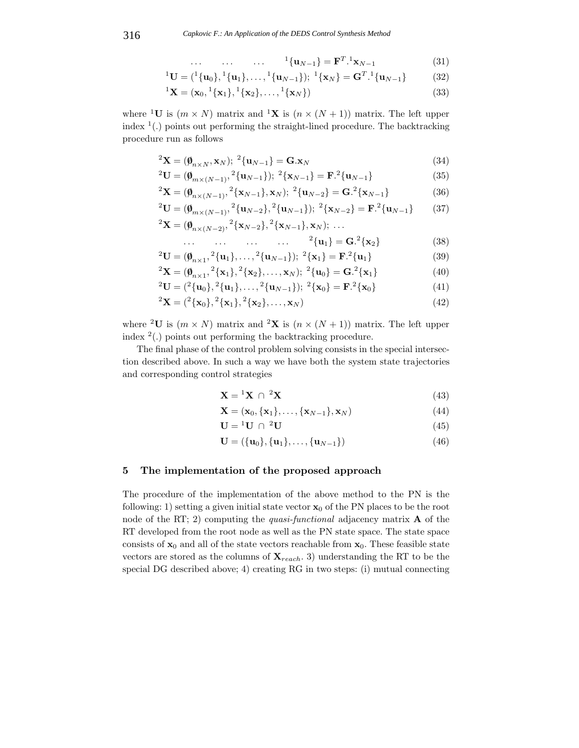$$
\dots \qquad \dots \qquad \dots \qquad {}^{1}\{u_{N-1}\} = \mathbf{F}^{T} \cdot {}^{1}\mathbf{x}_{N-1} \tag{31}
$$

$$
{}^{1}\mathbf{U} = ({}^{1}\{\mathbf{u}_{0}\}, {}^{1}\{\mathbf{u}_{1}\}, \dots, {}^{1}\{\mathbf{u}_{N-1}\}); {}^{1}\{\mathbf{x}_{N}\} = \mathbf{G}^{T} \cdot {}^{1}\{\mathbf{u}_{N-1}\}
$$
(32)

$$
{}^{1}\mathbf{X} = (\mathbf{x}_{0}, {}^{1}\{\mathbf{x}_{1}\}, {}^{1}\{\mathbf{x}_{2}\}, \dots, {}^{1}\{\mathbf{x}_{N}\})
$$
\n(33)

where <sup>1</sup>**U** is  $(m \times N)$  matrix and <sup>1</sup>**X** is  $(n \times (N + 1))$  matrix. The left upper index  $(1)$  points out performing the straight-lined procedure. The backtracking procedure run as follows

$$
{}^{2}\mathbf{X} = (\boldsymbol{\emptyset}_{n \times N}, \mathbf{x}_{N}); \; {}^{2}\{\mathbf{u}_{N-1}\} = \mathbf{G}.\mathbf{x}_{N}
$$
(34)

$$
{}^{2}\mathbf{U} = (\boldsymbol{\emptyset}_{m \times (N-1)}, {}^{2}\{\mathbf{u}_{N-1}\}); {}^{2}\{\mathbf{x}_{N-1}\} = \mathbf{F}.{}^{2}\{\mathbf{u}_{N-1}\}
$$
(35)

$$
{}^{2}\mathbf{X} = (\boldsymbol{\emptyset}_{n \times (N-1)}, {}^{2}\{\mathbf{x}_{N-1}\}, \mathbf{x}_{N}); {}^{2}\{\mathbf{u}_{N-2}\} = \mathbf{G} \cdot {}^{2}\{\mathbf{x}_{N-1}\}
$$
(36)

$$
{}^{2}\mathbf{U} = (\boldsymbol{\varnothing}_{m \times (N-1)}, {}^{2}\{\mathbf{u}_{N-2}\}, {}^{2}\{\mathbf{u}_{N-1}\}); {}^{2}\{\mathbf{x}_{N-2}\} = \mathbf{F} \cdot {}^{2}\{\mathbf{u}_{N-1}\}
$$
(37)  

$$
{}^{2}\mathbf{X} = (\boldsymbol{\varnothing}_{n \times (N-2)}, {}^{2}\{\mathbf{x}_{N-2}\}, {}^{2}\{\mathbf{x}_{N-1}\}, \mathbf{x}_{N}); \dots
$$

$$
\dots \qquad \dots \qquad \dots \qquad \dots \qquad {}^{2}\{u_{1}\} = G^{2}\{x_{2}\}
$$
 (38)

$$
{}^{2}\mathbf{U} = (\boldsymbol{\emptyset}_{n\times 1}, {}^{2}\{\mathbf{u}_{1}\}, \dots, {}^{2}\{\mathbf{u}_{N-1}\}); {}^{2}\{\mathbf{x}_{1}\} = \mathbf{F} \cdot {}^{2}\{\mathbf{u}_{1}\}
$$
(39)

$$
{}^{2}\mathbf{X} = (\boldsymbol{\varnothing}_{n\times 1}, {}^{2}\{\mathbf{x}_{1}\}, {}^{2}\{\mathbf{x}_{2}\}, \dots, \mathbf{x}_{N}); {}^{2}\{\mathbf{u}_{0}\} = \mathbf{G}.{}^{2}\{\mathbf{x}_{1}\}
$$
(40)  

$$
{}^{2}\mathbf{X} = (\boldsymbol{\varnothing}_{n\times 1}, {}^{2}\{\mathbf{x}_{1}\}, {}^{2}\{\mathbf{x}_{2}\}, \dots, \mathbf{x}_{N}); {}^{2}\{\mathbf{u}_{0}\} = \mathbf{G}.{}^{2}\{\mathbf{x}_{1}\}
$$
(40)

$$
{}^{2}U = ({}^{2}\{u_{0}\}, {}^{2}\{u_{1}\}, \dots, {}^{2}\{u_{N-1}\}); {}^{2}\{x_{0}\} = F. {}^{2}\{x_{0}\}
$$
(41)

$$
{}^{2}\mathbf{X} = ({}^{2}\{\mathbf{x}_{0}\}, {}^{2}\{\mathbf{x}_{1}\}, {}^{2}\{\mathbf{x}_{2}\}, \dots, \mathbf{x}_{N})
$$
\n(42)

where <sup>2</sup>**U** is  $(m \times N)$  matrix and <sup>2</sup>**X** is  $(n \times (N + 1))$  matrix. The left upper index  $2(.)$  points out performing the backtracking procedure.

The final phase of the control problem solving consists in the special intersection described above. In such a way we have both the system state trajectories and corresponding control strategies

$$
\mathbf{X} = {}^{1}\mathbf{X} \cap {}^{2}\mathbf{X} \tag{43}
$$

$$
\mathbf{X} = (\mathbf{x}_0, \{\mathbf{x}_1\}, \dots, \{\mathbf{x}_{N-1}\}, \mathbf{x}_N)
$$
(44)

$$
\mathbf{U} = {}^{1}\mathbf{U} \cap {}^{2}\mathbf{U} \tag{45}
$$

$$
\mathbf{U} = (\{\mathbf{u}_0\}, \{\mathbf{u}_1\}, \dots, \{\mathbf{u}_{N-1}\})
$$
(46)

# **5 The implementation of the proposed approach**

The procedure of the implementation of the above method to the PN is the following: 1) setting a given initial state vector  $\mathbf{x}_0$  of the PN places to be the root node of the RT; 2) computing the *quasi-functional* adjacency matrix **A** of the RT developed from the root node as well as the PN state space. The state space consists of  $\mathbf{x}_0$  and all of the state vectors reachable from  $\mathbf{x}_0$ . These feasible state vectors are stored as the columns of  $\mathbf{X}_{reach}$ . 3) understanding the RT to be the special DG described above; 4) creating RG in two steps: (i) mutual connecting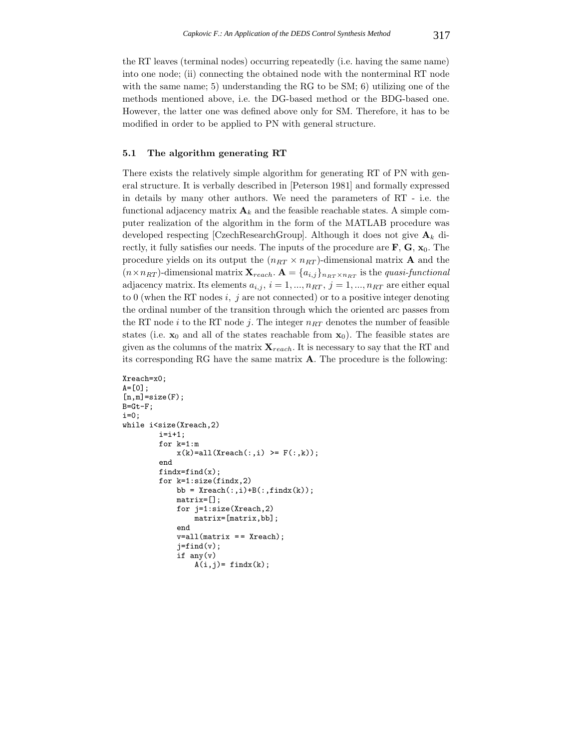the RT leaves (terminal nodes) occurring repeatedly (i.e. having the same name) into one node; (ii) connecting the obtained node with the nonterminal RT node with the same name; 5) understanding the RG to be  $SM$ ; 6) utilizing one of the methods mentioned above, i.e. the DG-based method or the BDG-based one. However, the latter one was defined above only for SM. Therefore, it has to be modified in order to be applied to PN with general structure.

#### **5.1 The algorithm generating RT**

There exists the relatively simple algorithm for generating RT of PN with general structure. It is verbally described in [Peterson 1981] and formally expressed in details by many other authors. We need the parameters of RT - i.e. the functional adjacency matrix  $\mathbf{A}_k$  and the feasible reachable states. A simple computer realization of the algorithm in the form of the MATLAB procedure was developed respecting [CzechResearchGroup]. Although it does not give  $A_k$  directly, it fully satisfies our needs. The inputs of the procedure are  $\mathbf{F}$ ,  $\mathbf{G}$ ,  $\mathbf{x}_0$ . The procedure yields on its output the  $(n_{RT} \times n_{RT})$ -dimensional matrix **A** and the  $(n \times n_{RT})$ -dimensional matrix  $\mathbf{X}_{reach}$ .  $\mathbf{A} = \{a_{i,j}\}_{n_{RT} \times n_{RT}}$  is the *quasi-functional* adjacency matrix. Its elements  $a_{i,j}$ ,  $i = 1, ..., n_{RT}$ ,  $j = 1, ..., n_{RT}$  are either equal to 0 (when the RT nodes  $i, j$  are not connected) or to a positive integer denoting the ordinal number of the transition through which the oriented arc passes from the RT node i to the RT node j. The integer  $n_{RT}$  denotes the number of feasible states (i.e.  $\mathbf{x}_0$  and all of the states reachable from  $\mathbf{x}_0$ ). The feasible states are given as the columns of the matrix  $\mathbf{X}_{reach}$ . It is necessary to say that the RT and its corresponding RG have the same matrix **A**. The procedure is the following:

```
Xreach=x0;
A=[0];
[n,m]=size(F);
B=GL-F;i=0;
while i<size(Xreach,2)
        i=i+1:
        for k=1:m
            x(k)=all(Xreach(:,i)) = F(:,k));end
        findx=find(x);for k=1:size(findx,2)
            bb = Xreach(:,i)+B(:,findx(k));matrix=[];
            for j=1:size(Xreach,2)
                 matrix=[matrix,bb];
            end
            v=all(matrix == Xreach);j=find(v);if any(v)
                A(i,j)= findx(k);
```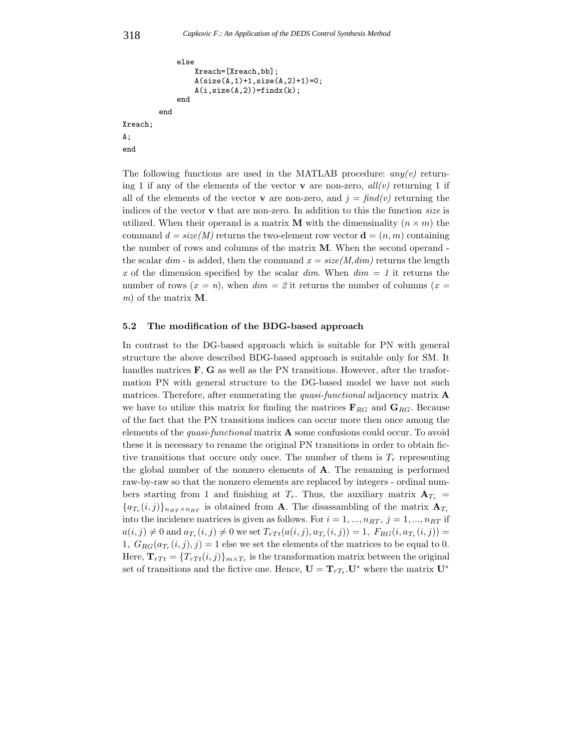```
else
                  Xreach=[Xreach,bb];
                  A(size(A,1)+1,size(A,2)+1)=0;
                  A(i, size(A, 2)) = findx(k);end
         end
Xreach;
A;
end
```
The following functions are used in the MATLAB procedure: *any(v)* returning 1 if any of the elements of the vector **v** are non-zero,  $all(v)$  returning 1 if all of the elements of the vector **v** are non-zero, and  $j = \frac{f\{ind(v)\}}{i}$  returning the indices of the vector **v** that are non-zero. In addition to this the function *size* is utilized. When their operand is a matrix **M** with the dimensinality  $(n \times m)$  the command  $d = size(M)$  returns the two-element row vector  $\mathbf{d} = (n, m)$  containing the number of rows and columns of the matrix **M**. When the second operand the scalar  $dim$  - is added, then the command  $x = size(M, dim)$  returns the length *x* of the dimension specified by the scalar *dim*. When *dim = 1* it returns the number of rows  $(x = n)$ , when  $dim = 2$  it returns the number of columns  $(x =$ *m*) of the matrix **M**.

### **5.2 The modification of the BDG-based approach**

In contrast to the DG-based approach which is suitable for PN with general structure the above described BDG-based approach is suitable only for SM. It handles matrices **F**, **G** as well as the PN transitions. However, after the trasformation PN with general structure to the DG-based model we have not such matrices. Therefore, after enumerating the *quasi-functional* adjacency matrix **A** we have to utilize this matrix for finding the matrices  $\mathbf{F}_{RG}$  and  $\mathbf{G}_{RG}$ . Because of the fact that the PN transitions indices can occur more then once among the elements of the *quasi-functional* matrix **A** some confusions could occur. To avoid these it is necessary to rename the original PN transitions in order to obtain fictive transitions that occure only once. The number of them is  $T_r$  representing the global number of the nonzero elements of **A**. The renaming is performed raw-by-raw so that the nonzero elements are replaced by integers - ordinal numbers starting from 1 and finishing at  $T_r$ . Thus, the auxiliary matrix  $A_{T_r}$  =  ${a_{T_r}(i,j)}_{n_{RT} \times n_{RT}}$  is obtained from **A**. The disassambling of the matrix  $A_{T_r}$ into the incidence matrices is given as follows. For  $i = 1, ..., n_{RT}, j = 1, ..., n_{RT}$  if  $a(i, j) \neq 0$  and  $a_{T_r}(i, j) \neq 0$  we set  $T_{rT_t}(a(i, j), a_{T_r}(i, j)) = 1$ ,  $F_{RG}(i, a_{T_r}(i, j)) =$ 1,  $G_{RG}(a_{T_r}(i,j), j) = 1$  else we set the elements of the matrices to be equal to 0. Here,  $\mathbf{T}_{rTt} = \{T_{rTt}(i,j)\}_{m \times T_r}$  is the transformation matrix between the original set of transitions and the fictive one. Hence,  $\mathbf{U} = \mathbf{T}_{rT_t} \cdot \mathbf{U}^*$  where the matrix  $\mathbf{U}^*$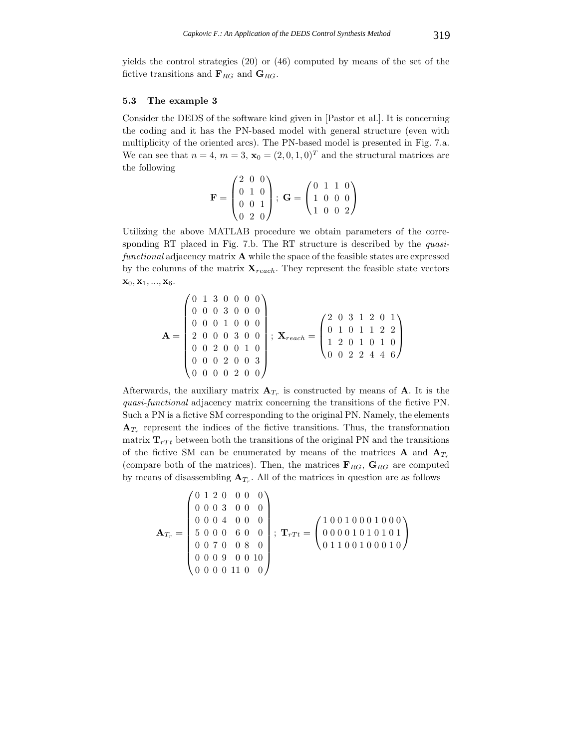yields the control strategies (20) or (46) computed by means of the set of the fictive transitions and  $\mathbf{F}_{RG}$  and  $\mathbf{G}_{RG}$ .

#### **5.3 The example 3**

Consider the DEDS of the software kind given in [Pastor et al.]. It is concerning the coding and it has the PN-based model with general structure (even with multiplicity of the oriented arcs). The PN-based model is presented in Fig. 7.a. We can see that  $n = 4$ ,  $m = 3$ ,  $\mathbf{x}_0 = (2, 0, 1, 0)^T$  and the structural matrices are the following

$$
\mathbf{F} = \begin{pmatrix} 2 & 0 & 0 \\ 0 & 1 & 0 \\ 0 & 0 & 1 \\ 0 & 2 & 0 \end{pmatrix}; \ \mathbf{G} = \begin{pmatrix} 0 & 1 & 1 & 0 \\ 1 & 0 & 0 & 0 \\ 1 & 0 & 0 & 2 \end{pmatrix}
$$

Utilizing the above MATLAB procedure we obtain parameters of the corresponding RT placed in Fig. 7.b. The RT structure is described by the *quasifunctional* adjacency matrix **A** while the space of the feasible states are expressed by the columns of the matrix  $\mathbf{X}_{reach}$ . They represent the feasible state vectors  $\mathbf{x}_0, \mathbf{x}_1, ..., \mathbf{x}_6.$ 

$$
\mathbf{A} = \begin{pmatrix} 0 & 1 & 3 & 0 & 0 & 0 & 0 \\ 0 & 0 & 0 & 3 & 0 & 0 & 0 \\ 0 & 0 & 0 & 1 & 0 & 0 & 0 \\ 2 & 0 & 0 & 0 & 3 & 0 & 0 \\ 0 & 0 & 2 & 0 & 0 & 1 & 0 \\ 0 & 0 & 0 & 2 & 0 & 0 & 3 \\ 0 & 0 & 0 & 0 & 2 & 0 & 0 \end{pmatrix}; \ \mathbf{X}_{reach} = \begin{pmatrix} 2 & 0 & 3 & 1 & 2 & 0 & 1 \\ 0 & 1 & 0 & 1 & 1 & 2 & 2 \\ 1 & 2 & 0 & 1 & 0 & 1 & 0 \\ 0 & 0 & 2 & 2 & 4 & 4 & 6 \end{pmatrix}
$$

Afterwards, the auxiliary matrix  $A_{T_r}$  is constructed by means of **A**. It is the *quasi-functional* adjacency matrix concerning the transitions of the fictive PN. Such a PN is a fictive SM corresponding to the original PN. Namely, the elements  $A_{T_r}$  represent the indices of the fictive transitions. Thus, the transformation matrix  $\mathbf{T}_{rTt}$  between both the transitions of the original PN and the transitions of the fictive SM can be enumerated by means of the matrices **A** and  $A_{T_r}$ (compare both of the matrices). Then, the matrices  $\mathbf{F}_{RG}$ ,  $\mathbf{G}_{RG}$  are computed by means of disassembling  $A_{T_r}$ . All of the matrices in question are as follows

$$
\mathbf{A}_{T_r} = \begin{pmatrix} 0 & 1 & 2 & 0 & 0 & 0 & 0 \\ 0 & 0 & 0 & 3 & 0 & 0 & 0 \\ 0 & 0 & 0 & 4 & 0 & 0 & 0 \\ 5 & 0 & 0 & 0 & 6 & 0 & 0 \\ 0 & 0 & 7 & 0 & 0 & 8 & 0 \\ 0 & 0 & 0 & 9 & 0 & 0 & 10 \\ 0 & 0 & 0 & 0 & 11 & 0 & 0 \end{pmatrix}; \ \mathbf{T}_{rTt} = \begin{pmatrix} 1 & 0 & 0 & 1 & 0 & 0 & 0 & 0 & 0 \\ 0 & 0 & 0 & 0 & 1 & 0 & 0 & 0 & 0 \\ 0 & 1 & 1 & 0 & 0 & 1 & 0 & 0 & 0 \\ 0 & 1 & 1 & 0 & 0 & 0 & 0 & 1 & 0 \end{pmatrix}
$$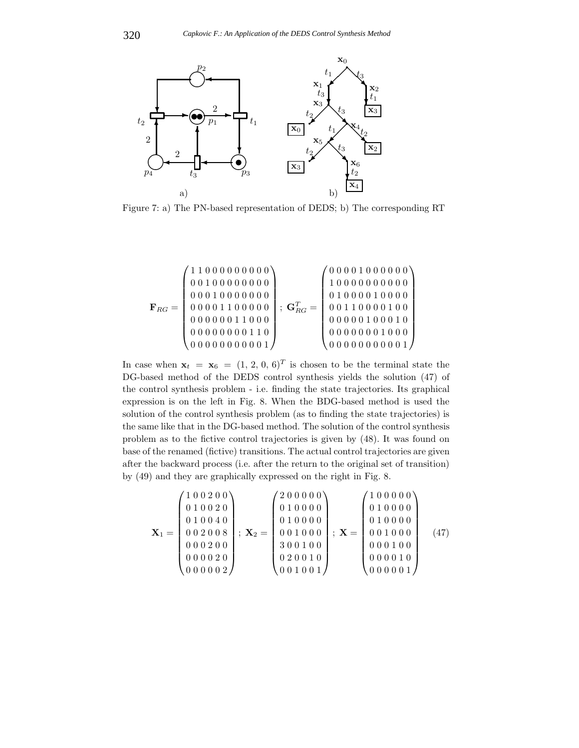

Figure 7: a) The PN-based representation of DEDS; b) The corresponding RT

**<sup>F</sup>**RG <sup>=</sup> ⎛ ⎜⎜⎜⎜⎜⎜⎜⎜⎜⎝ 11000000000 00100000000 00010000000 00001100000 00000011000 00000000110 00000000001 ⎞ ⎟⎟⎟⎟⎟⎟⎟⎟⎟⎠ ; **G**<sup>T</sup> RG <sup>=</sup> ⎛ ⎜⎜⎜⎜⎜⎜⎜⎜⎜⎝ 00001000000 10000000000 01000010000 00110000100 00000100010 00000001000 00000000001 ⎞ ⎟⎟⎟⎟⎟⎟⎟⎟⎟⎠

In case when  $\mathbf{x}_t = \mathbf{x}_6 = (1, 2, 0, 6)^T$  is chosen to be the terminal state the DG-based method of the DEDS control synthesis yields the solution (47) of the control synthesis problem - i.e. finding the state trajectories. Its graphical expression is on the left in Fig. 8. When the BDG-based method is used the solution of the control synthesis problem (as to finding the state trajectories) is the same like that in the DG-based method. The solution of the control synthesis problem as to the fictive control trajectories is given by (48). It was found on base of the renamed (fictive) transitions. The actual control trajectories are given after the backward process (i.e. after the return to the original set of transition) by (49) and they are graphically expressed on the right in Fig. 8.

$$
\mathbf{X}_1 = \begin{pmatrix} 1 & 0 & 0 & 2 & 0 & 0 \\ 0 & 1 & 0 & 0 & 2 & 0 \\ 0 & 1 & 0 & 0 & 4 & 0 \\ 0 & 0 & 2 & 0 & 0 & 8 \\ 0 & 0 & 0 & 2 & 0 & 0 \\ 0 & 0 & 0 & 0 & 2 & 0 \\ 0 & 0 & 0 & 0 & 0 & 2 \end{pmatrix}; \ \mathbf{X}_2 = \begin{pmatrix} 2 & 0 & 0 & 0 & 0 & 0 \\ 0 & 1 & 0 & 0 & 0 & 0 \\ 0 & 1 & 0 & 0 & 0 & 0 \\ 0 & 0 & 1 & 0 & 0 & 0 \\ 3 & 0 & 0 & 1 & 0 & 0 \\ 0 & 0 & 1 & 0 & 0 & 1 \end{pmatrix}; \ \mathbf{X} = \begin{pmatrix} 1 & 0 & 0 & 0 & 0 & 0 \\ 0 & 1 & 0 & 0 & 0 & 0 \\ 0 & 1 & 0 & 0 & 0 & 0 \\ 0 & 0 & 1 & 0 & 0 & 0 \\ 0 & 0 & 0 & 1 & 0 & 0 \\ 0 & 0 & 0 & 0 & 1 & 0 \\ 0 & 0 & 0 & 0 & 1 & 0 \end{pmatrix} \tag{47}
$$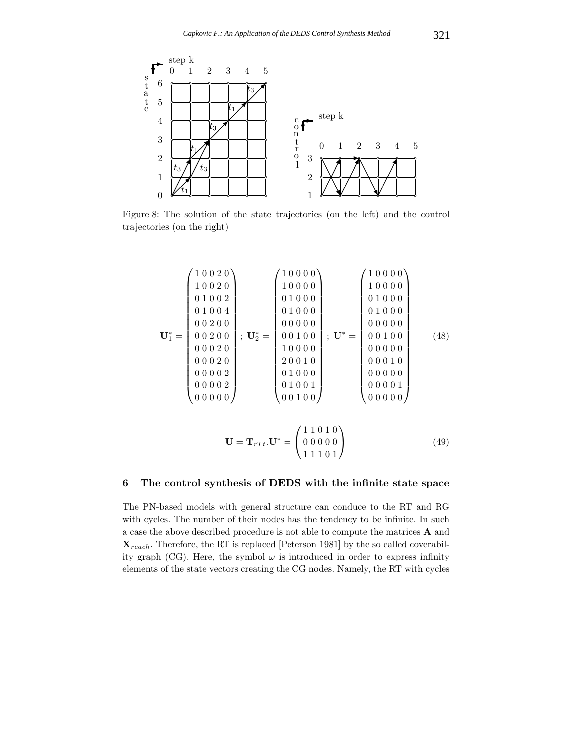

Figure 8: The solution of the state trajectories (on the left) and the control trajectories (on the right)

$$
\mathbf{U}_{1}^{*} = \begin{pmatrix} 1 & 0 & 0 & 2 & 0 \\ 1 & 0 & 0 & 2 & 0 \\ 0 & 1 & 0 & 0 & 2 \\ 0 & 0 & 0 & 2 & 0 \\ 0 & 0 & 2 & 0 & 0 \\ 0 & 0 & 0 & 2 & 0 \\ 0 & 0 & 0 & 2 & 0 \\ 0 & 0 & 0 & 0 & 2 \\ 0 & 0 & 0 & 0 & 2 \\ 0 & 0 & 0 & 0 & 2 \\ 0 & 0 & 0 & 0 & 2 \\ 0 & 0 & 0 & 0 & 2 \\ 0 & 0 & 0 & 0 & 0 \\ 0 & 0 & 0 & 0 & 0 \\ 0 & 0 & 0 & 0 & 0 \\ 0 & 0 & 0 & 0 & 0 \\ 0 & 0 & 0 & 0 & 0 \\ 0 & 0 & 0 & 0 & 0 \\ 0 & 0 & 0 & 0 & 0 \\ 0 & 0 & 0 & 0 & 0 \\ 0 & 0 & 0 & 0 & 0 \\ 0 & 0 & 0 & 0 & 0 \\ 0 & 0 & 0 & 0 & 0 \\ 0 & 0 & 0 & 0 & 0 \\ 0 & 0 & 0 & 0 & 0 \\ 0 & 0 & 0 & 0 & 0 \\ 0 & 0 & 0 & 0 & 0 \\ 0 & 0 & 0 & 0 & 0 \\ 0 & 0 & 0 & 0 & 0 \\ 0 & 0 & 0 & 0 & 0 \\ 0 & 0 & 0 & 0 & 0 \\ 0 & 0 & 0 & 0 & 0 \\ 0 & 0 & 0 & 0 & 0 \\ 0 & 0 & 0 & 0 & 0 \\ 0 & 0 & 0 & 0 & 0 \\ 0 & 0 & 0 & 0 & 0 \\ 0 & 0 & 0 & 0 & 0 \\ 0 & 0 & 0 & 0 & 0 \\ 0 & 0 & 0 & 0 & 0 \\ 0 & 0 & 0 & 0 & 0 \\ 0 & 0 & 0 & 0 & 0 \\ 0 & 0 & 0 & 0 & 0 \\ 0 & 0 & 0 & 0 & 0 \\ 0 & 0 & 0 & 0 & 0 \\ 0 & 0 & 0 & 0 & 0 \\ 0 & 0 & 0 & 0 & 0 \\ 0 & 0 & 0 & 0 & 0 \\ 0 & 0 & 0 & 0 & 0 \\ 0 & 0 & 0 & 0 & 0 \\ 0 & 0 &
$$

$$
\mathbf{U} = \mathbf{T}_{rTt}.\mathbf{U}^* = \begin{pmatrix} 1 & 1 & 0 & 1 & 0 \\ 0 & 0 & 0 & 0 & 0 \\ 1 & 1 & 1 & 0 & 1 \end{pmatrix}
$$
(49)

# **6 The control synthesis of DEDS with the infinite state space**

The PN-based models with general structure can conduce to the RT and RG with cycles. The number of their nodes has the tendency to be infinite. In such a case the above described procedure is not able to compute the matrices **A** and **<sup>X</sup>**reach. Therefore, the RT is replaced [Peterson 1981] by the so called coverability graph (CG). Here, the symbol  $\omega$  is introduced in order to express infinity elements of the state vectors creating the CG nodes. Namely, the RT with cycles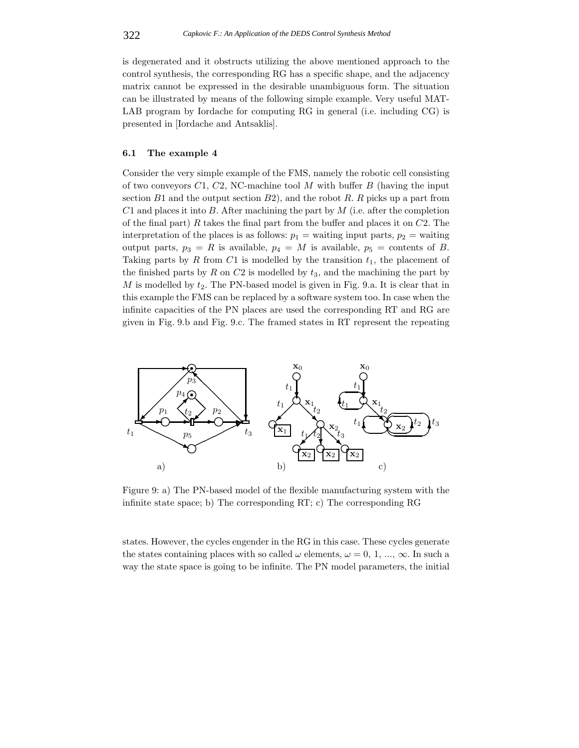is degenerated and it obstructs utilizing the above mentioned approach to the control synthesis, the corresponding RG has a specific shape, and the adjacency matrix cannot be expressed in the desirable unambiguous form. The situation can be illustrated by means of the following simple example. Very useful MAT-LAB program by Iordache for computing RG in general (i.e. including CG) is presented in [Iordache and Antsaklis].

#### **6.1 The example 4**

Consider the very simple example of the FMS, namely the robotic cell consisting of two conveyors  $C1$ ,  $C2$ , NC-machine tool M with buffer B (having the input section  $B1$  and the output section  $B2$ ), and the robot R. R picks up a part from  $C1$  and places it into B. After machining the part by  $M$  (i.e. after the completion of the final part) R takes the final part from the buffer and places it on  $C2$ . The interpretation of the places is as follows:  $p_1$  = waiting input parts,  $p_2$  = waiting output parts,  $p_3 = R$  is available,  $p_4 = M$  is available,  $p_5 =$  contents of B. Taking parts by R from C1 is modelled by the transition  $t_1$ , the placement of the finished parts by  $R$  on  $C2$  is modelled by  $t_3$ , and the machining the part by  $M$  is modelled by  $t_2$ . The PN-based model is given in Fig. 9.a. It is clear that in this example the FMS can be replaced by a software system too. In case when the infinite capacities of the PN places are used the corresponding RT and RG are given in Fig. 9.b and Fig. 9.c. The framed states in RT represent the repeating



Figure 9: a) The PN-based model of the flexible manufacturing system with the infinite state space; b) The corresponding RT; c) The corresponding RG

states. However, the cycles engender in the RG in this case. These cycles generate the states containing places with so called  $\omega$  elements,  $\omega = 0, 1, ..., \infty$ . In such a way the state space is going to be infinite. The PN model parameters, the initial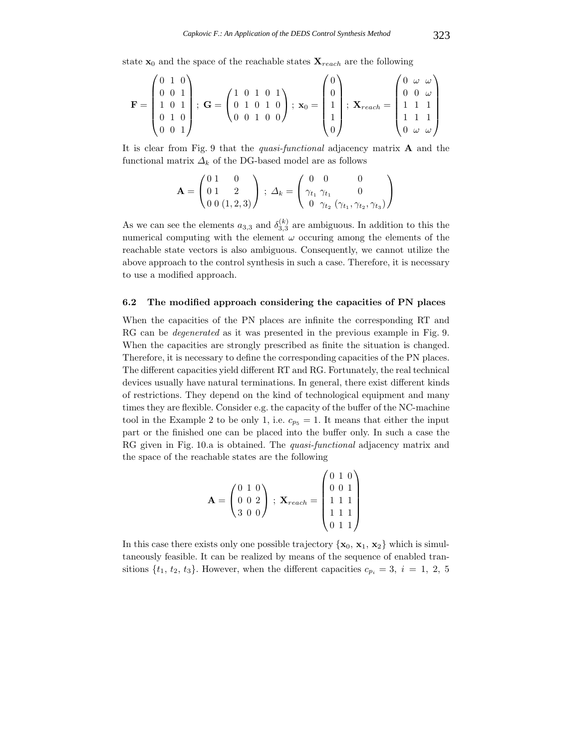state  $\mathbf{x}_0$  and the space of the reachable states  $\mathbf{X}_{reach}$  are the following

$$
\mathbf{F} = \begin{pmatrix} 0 & 1 & 0 \\ 0 & 0 & 1 \\ 1 & 0 & 1 \\ 0 & 1 & 0 \\ 0 & 0 & 1 \end{pmatrix}; \ \mathbf{G} = \begin{pmatrix} 1 & 0 & 1 & 0 & 1 \\ 0 & 1 & 0 & 1 & 0 \\ 0 & 0 & 1 & 0 & 0 \end{pmatrix}; \ \mathbf{x}_0 = \begin{pmatrix} 0 \\ 0 \\ 1 \\ 1 \\ 0 \end{pmatrix}; \ \mathbf{X}_{reach} = \begin{pmatrix} 0 & \omega & \omega \\ 0 & 0 & \omega \\ 1 & 1 & 1 \\ 1 & 1 & 1 \\ 0 & \omega & \omega \end{pmatrix}
$$

It is clear from Fig. 9 that the *quasi-functional* adjacency matrix **A** and the functional matrix  $\Delta_k$  of the DG-based model are as follows

$$
\mathbf{A} = \begin{pmatrix} 0 & 1 & 0 \\ 0 & 1 & 2 \\ 0 & 0 & (1, 2, 3) \end{pmatrix} ; \ \Delta_k = \begin{pmatrix} 0 & 0 & 0 \\ \gamma_{t_1} & \gamma_{t_1} & 0 \\ 0 & \gamma_{t_2} & (\gamma_{t_1}, \gamma_{t_2}, \gamma_{t_3}) \end{pmatrix}
$$

As we can see the elements  $a_{3,3}$  and  $\delta_{3,3}^{(k)}$  are ambiguous. In addition to this the numerical computing with the element  $\omega$  occuring among the elements of the reachable state vectors is also ambiguous. Consequently, we cannot utilize the above approach to the control synthesis in such a case. Therefore, it is necessary to use a modified approach.

### **6.2 The modified approach considering the capacities of PN places**

When the capacities of the PN places are infinite the corresponding RT and RG can be *degenerated* as it was presented in the previous example in Fig. 9. When the capacities are strongly prescribed as finite the situation is changed. Therefore, it is necessary to define the corresponding capacities of the PN places. The different capacities yield different RT and RG. Fortunately, the real technical devices usually have natural terminations. In general, there exist different kinds of restrictions. They depend on the kind of technological equipment and many times they are flexible. Consider e.g. the capacity of the buffer of the NC-machine tool in the Example 2 to be only 1, i.e.  $c_{p5} = 1$ . It means that either the input part or the finished one can be placed into the buffer only. In such a case the RG given in Fig. 10.a is obtained. The *quasi-functional* adjacency matrix and the space of the reachable states are the following

$$
\mathbf{A} = \begin{pmatrix} 0 & 1 & 0 \\ 0 & 0 & 2 \\ 3 & 0 & 0 \end{pmatrix} ; \ \mathbf{X}_{reach} = \begin{pmatrix} 0 & 1 & 0 \\ 0 & 0 & 1 \\ 1 & 1 & 1 \\ 1 & 1 & 1 \\ 0 & 1 & 1 \end{pmatrix}
$$

In this case there exists only one possible trajectory  $\{x_0, x_1, x_2\}$  which is simultaneously feasible. It can be realized by means of the sequence of enabled transitions  $\{t_1, t_2, t_3\}$ . However, when the different capacities  $c_{p_i} = 3$ ,  $i = 1, 2, 5$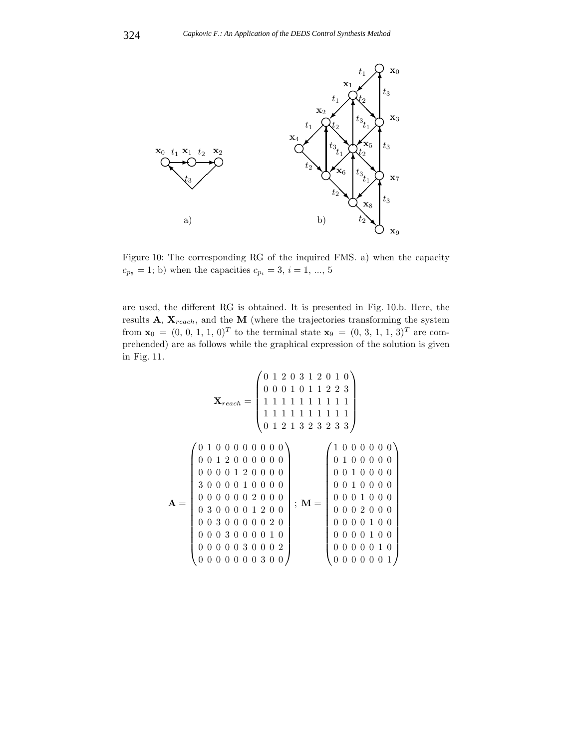

Figure 10: The corresponding RG of the inquired FMS. a) when the capacity  $c_{p5} = 1$ ; b) when the capacities  $c_{p_i} = 3, i = 1, ..., 5$ 

are used, the different RG is obtained. It is presented in Fig. 10.b. Here, the results **A**,  $\mathbf{X}_{reach}$ , and the **M** (where the trajectories transforming the system from  $\mathbf{x}_0 = (0, 0, 1, 1, 0)^T$  to the terminal state  $\mathbf{x}_9 = (0, 3, 1, 1, 3)^T$  are com-<br>prehended) are as follows while the graphical expression of the solution is given prehended) are as follows while the graphical expression of the solution is given in Fig. 11.

$$
\mathbf{A} = \begin{pmatrix}\n0 & 1 & 2 & 0 & 3 & 1 & 2 & 0 & 1 & 0 \\
0 & 0 & 0 & 1 & 0 & 1 & 1 & 2 & 2 & 3 \\
1 & 1 & 1 & 1 & 1 & 1 & 1 & 1 & 1 & 1 \\
0 & 1 & 2 & 1 & 3 & 2 & 3 & 2 & 3 & 3\n\end{pmatrix}
$$
\n
$$
\mathbf{A} = \begin{pmatrix}\n0 & 1 & 0 & 0 & 0 & 0 & 0 & 0 & 0 \\
0 & 0 & 1 & 2 & 0 & 0 & 0 & 0 & 0 \\
0 & 0 & 0 & 0 & 1 & 2 & 0 & 0 & 0 & 0 \\
0 & 0 & 0 & 0 & 1 & 0 & 0 & 0 & 0 \\
0 & 0 & 0 & 0 & 0 & 2 & 0 & 0 & 0 \\
0 & 3 & 0 & 0 & 0 & 0 & 1 & 2 & 0 \\
0 & 0 & 3 & 0 & 0 & 0 & 0 & 2 & 0 \\
0 & 0 & 0 & 0 & 0 & 0 & 1 & 0 & 0 \\
0 & 0 & 0 & 0 & 0 & 0 & 1 & 0 & 0 \\
0 & 0 & 0 & 0 & 0 & 0 & 1 & 0 & 0 \\
0 & 0 & 0 & 0 & 0 & 0 & 0 & 1 & 0 \\
0 & 0 & 0 & 0 & 0 & 0 & 0 & 0 & 1\n\end{pmatrix}; \ \mathbf{M} = \begin{pmatrix}\n1 & 0 & 0 & 0 & 0 & 0 & 0 \\
0 & 1 & 0 & 0 & 0 & 0 & 0 & 0 \\
0 & 0 & 1 & 0 & 0 & 0 & 0 & 0 \\
0 & 0 & 0 & 1 & 0 & 0 & 0 & 0 \\
0 & 0 & 0 & 0 & 1 & 0 & 0 & 0 \\
0 & 0 & 0 & 0 & 1 & 0 & 0 & 0 \\
0 & 0 & 0 & 0 & 1 & 0 & 0 & 0 \\
0 & 0 & 0 & 0 & 0 & 0 & 0 & 1\n\end{pmatrix}
$$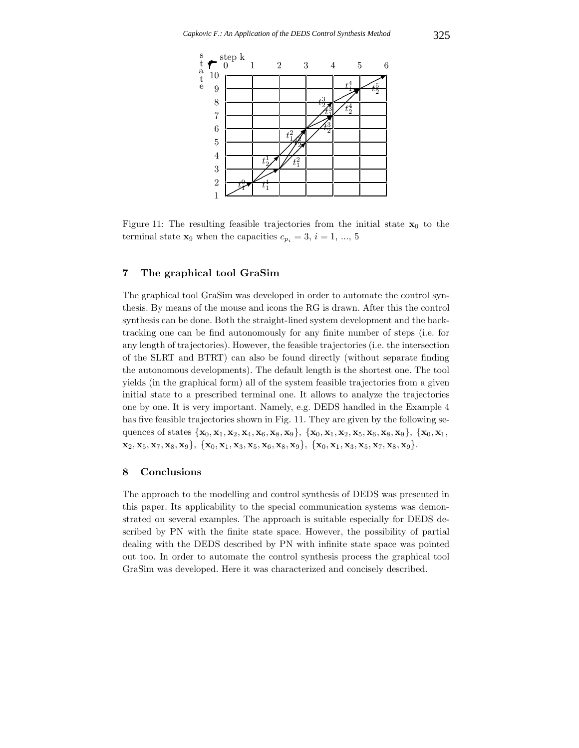

Figure 11: The resulting feasible trajectories from the initial state  $\mathbf{x}_0$  to the terminal state **x**<sub>9</sub> when the capacities  $c_{p_i} = 3, i = 1, ..., 5$ 

# **7 The graphical tool GraSim**

The graphical tool GraSim was developed in order to automate the control synthesis. By means of the mouse and icons the RG is drawn. After this the control synthesis can be done. Both the straight-lined system development and the backtracking one can be find autonomously for any finite number of steps (i.e. for any length of trajectories). However, the feasible trajectories (i.e. the intersection of the SLRT and BTRT) can also be found directly (without separate finding the autonomous developments). The default length is the shortest one. The tool yields (in the graphical form) all of the system feasible trajectories from a given initial state to a prescribed terminal one. It allows to analyze the trajectories one by one. It is very important. Namely, e.g. DEDS handled in the Example 4 has five feasible trajectories shown in Fig. 11. They are given by the following sequences of states {**x**<sup>0</sup>, **<sup>x</sup>**<sup>1</sup>, **<sup>x</sup>**<sup>2</sup>, **<sup>x</sup>**<sup>4</sup>, **<sup>x</sup>**<sup>6</sup>, **<sup>x</sup>**<sup>8</sup>, **<sup>x</sup>**9}, {**x**<sup>0</sup>, **<sup>x</sup>**<sup>1</sup>, **<sup>x</sup>**<sup>2</sup>, **<sup>x</sup>**<sup>5</sup>, **<sup>x</sup>**<sup>6</sup>, **<sup>x</sup>**<sup>8</sup>, **<sup>x</sup>**9}, {**x**<sup>0</sup>, **<sup>x</sup>**<sup>1</sup>,  $\mathbf{x}_2, \mathbf{x}_5, \mathbf{x}_7, \mathbf{x}_8, \mathbf{x}_9$ , { $\mathbf{x}_0, \mathbf{x}_1, \mathbf{x}_3, \mathbf{x}_5, \mathbf{x}_6, \mathbf{x}_8, \mathbf{x}_9$ }, { $\mathbf{x}_0, \mathbf{x}_1, \mathbf{x}_3, \mathbf{x}_5, \mathbf{x}_7, \mathbf{x}_8, \mathbf{x}_9$ }.

# **8 Conclusions**

The approach to the modelling and control synthesis of DEDS was presented in this paper. Its applicability to the special communication systems was demonstrated on several examples. The approach is suitable especially for DEDS described by PN with the finite state space. However, the possibility of partial dealing with the DEDS described by PN with infinite state space was pointed out too. In order to automate the control synthesis process the graphical tool GraSim was developed. Here it was characterized and concisely described.